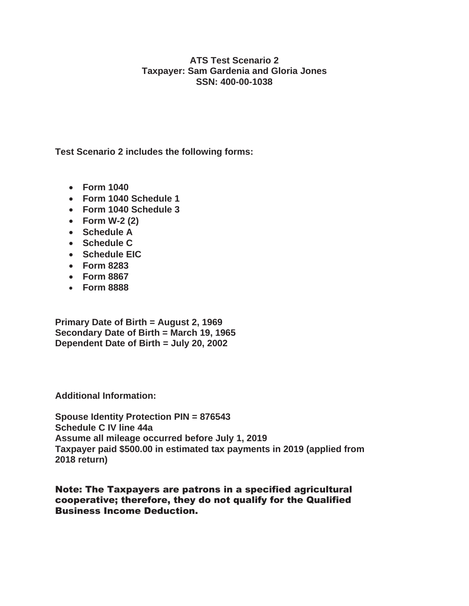#### **ATS Test Scenario 2 Taxpayer: Sam Gardenia and Gloria Jones SSN: 400-00-1038**

**Test Scenario 2 includes the following forms:** 

- x **Form 1040**
- x **Form 1040 Schedule 1**
- x **Form 1040 Schedule 3**
- x **Form W-2 (2)**
- x **Schedule A**
- x **Schedule C**
- x **Schedule EIC**
- x **Form 8283**
- x **Form 8867**
- x **Form 8888**

**Primary Date of Birth = August 2, 1969 Secondary Date of Birth = March 19, 1965 Dependent Date of Birth = July 20, 2002** 

**Additional Information:** 

**Spouse Identity Protection PIN = 876543 Schedule C IV line 44a Assume all mileage occurred before July 1, 2019 Taxpayer paid \$500.00 in estimated tax payments in 2019 (applied from 2018 return)**

Note: The Taxpayers are patrons in a specified agricultural cooperative; therefore, they do not qualify for the Qualified Business Income Deduction.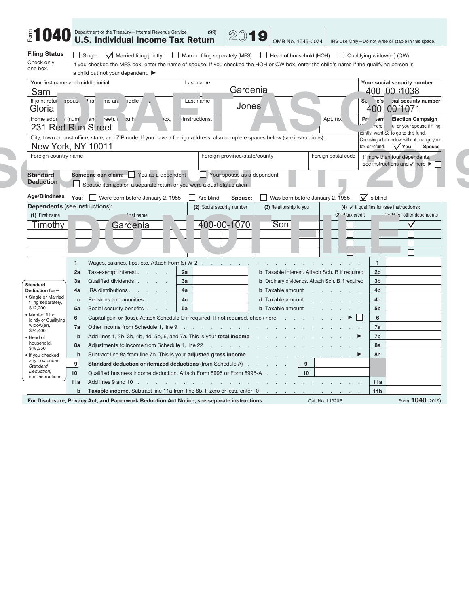| <b>Filing Status</b><br>Check only                                                                                                               | Married filing jointly<br>Single                                                                                                                                                                                                     | Married filing separately (MFS)     Head of household (HOH) |                                                                                                                                                                                                                                |                                                        | Qualifying widow(er) (QW)                             |                                           |
|--------------------------------------------------------------------------------------------------------------------------------------------------|--------------------------------------------------------------------------------------------------------------------------------------------------------------------------------------------------------------------------------------|-------------------------------------------------------------|--------------------------------------------------------------------------------------------------------------------------------------------------------------------------------------------------------------------------------|--------------------------------------------------------|-------------------------------------------------------|-------------------------------------------|
| one box.                                                                                                                                         | If you checked the MFS box, enter the name of spouse. If you checked the HOH or QW box, enter the child's name if the qualifying person is<br>a child but not your dependent.                                                        |                                                             |                                                                                                                                                                                                                                |                                                        |                                                       |                                           |
|                                                                                                                                                  | Your first name and middle initial                                                                                                                                                                                                   | Last name                                                   |                                                                                                                                                                                                                                |                                                        | Your social security number                           |                                           |
| Sam                                                                                                                                              |                                                                                                                                                                                                                                      |                                                             | Gardenia                                                                                                                                                                                                                       |                                                        | 400 00 1038                                           |                                           |
|                                                                                                                                                  | If joint retul spous. first me and<br>iddle i                                                                                                                                                                                        | Last name                                                   |                                                                                                                                                                                                                                |                                                        |                                                       | $S_{\mu}$ e's cial security number        |
| Gloria                                                                                                                                           |                                                                                                                                                                                                                                      |                                                             | Jones                                                                                                                                                                                                                          |                                                        | 400 00 1071                                           |                                           |
| Home $addr \rightarrow (num)^r$                                                                                                                  | and reet).<br>$\nu$ bu h<br>OX,                                                                                                                                                                                                      | instructions.                                               |                                                                                                                                                                                                                                | Apt. no.                                               | Pre lent Election Campaign                            |                                           |
|                                                                                                                                                  | 231 Red Run Street                                                                                                                                                                                                                   |                                                             |                                                                                                                                                                                                                                |                                                        | nere i<br>jointly, want \$3 to go to this fund.       | u, or your spouse if filing               |
|                                                                                                                                                  | City, town or post office, state, and ZIP code. If you have a foreign address, also complete spaces below (see instructions).                                                                                                        |                                                             |                                                                                                                                                                                                                                |                                                        |                                                       | Checking a box below will not change your |
|                                                                                                                                                  | New York, NY 10011                                                                                                                                                                                                                   |                                                             |                                                                                                                                                                                                                                |                                                        | tax or refund.                                        | $\sqrt{}$ You Spouse                      |
| Foreign country name                                                                                                                             |                                                                                                                                                                                                                                      | Foreign province/state/county                               |                                                                                                                                                                                                                                | Foreign postal code                                    | If more than four dependents,                         |                                           |
|                                                                                                                                                  |                                                                                                                                                                                                                                      |                                                             |                                                                                                                                                                                                                                |                                                        | see instructions and √ here ▶                         |                                           |
| <b>Standard</b><br><b>Deduction</b>                                                                                                              | <b>Someone can claim:</b> You as a dependent                                                                                                                                                                                         | Your spouse as a dependent                                  |                                                                                                                                                                                                                                |                                                        |                                                       |                                           |
|                                                                                                                                                  | Spouse itemizes on a separate return or you were a dual-status alien                                                                                                                                                                 |                                                             |                                                                                                                                                                                                                                |                                                        |                                                       |                                           |
| Age/Blindness                                                                                                                                    | You:<br>    Were born before January 2, 1955                                                                                                                                                                                         | Are blind                                                   | Spouse:                                                                                                                                                                                                                        | Was born before January 2, 1955                        | $\sqrt{}$ is blind                                    |                                           |
|                                                                                                                                                  | <b>Dependents</b> (see instructions):                                                                                                                                                                                                | (2) Social security number                                  | (3) Relationship to you                                                                                                                                                                                                        |                                                        | (4) $\checkmark$ if qualifies for (see instructions): |                                           |
| (1) First name                                                                                                                                   | ast name                                                                                                                                                                                                                             |                                                             |                                                                                                                                                                                                                                | Child tax credit                                       |                                                       | Crodit for other dependents               |
| Timothy                                                                                                                                          | Gardenia                                                                                                                                                                                                                             | $\overline{400}$ -00-1070                                   | Son                                                                                                                                                                                                                            |                                                        |                                                       | $\overline{\mathbf{M}}$                   |
|                                                                                                                                                  |                                                                                                                                                                                                                                      |                                                             |                                                                                                                                                                                                                                |                                                        |                                                       |                                           |
|                                                                                                                                                  |                                                                                                                                                                                                                                      |                                                             |                                                                                                                                                                                                                                |                                                        |                                                       |                                           |
|                                                                                                                                                  |                                                                                                                                                                                                                                      |                                                             |                                                                                                                                                                                                                                |                                                        |                                                       |                                           |
|                                                                                                                                                  | Wages, salaries, tips, etc. Attach Form(s) W-2<br>1                                                                                                                                                                                  |                                                             | $\sim$                                                                                                                                                                                                                         |                                                        | 1                                                     |                                           |
|                                                                                                                                                  | Tax-exempt interest<br>2a                                                                                                                                                                                                            | 2a                                                          |                                                                                                                                                                                                                                | <b>b</b> Taxable interest. Attach Sch. B if required   | 2 <sub>b</sub>                                        |                                           |
|                                                                                                                                                  |                                                                                                                                                                                                                                      | 3a                                                          |                                                                                                                                                                                                                                | <b>b</b> Ordinary dividends. Attach Sch. B if required | 3 <sub>b</sub>                                        |                                           |
|                                                                                                                                                  | Qualified dividends<br>3a                                                                                                                                                                                                            |                                                             |                                                                                                                                                                                                                                |                                                        |                                                       |                                           |
|                                                                                                                                                  | IRA distributions<br>4a                                                                                                                                                                                                              | 4a                                                          | <b>b</b> Taxable amount                                                                                                                                                                                                        | and the company of the company of                      | 4 <sub>b</sub>                                        |                                           |
|                                                                                                                                                  | Pensions and annuities<br>C                                                                                                                                                                                                          | 4 <sub>c</sub>                                              | <b>d</b> Taxable amount                                                                                                                                                                                                        |                                                        | 4d                                                    |                                           |
| filing separately,<br>\$12,200                                                                                                                   | Social security benefits<br>5a                                                                                                                                                                                                       | 5a                                                          | <b>b</b> Taxable amount                                                                                                                                                                                                        |                                                        | 5 <sub>b</sub>                                        |                                           |
| jointly or Qualifying                                                                                                                            | Capital gain or (loss). Attach Schedule D if required. If not required, check here<br>6                                                                                                                                              |                                                             |                                                                                                                                                                                                                                |                                                        | 6                                                     |                                           |
| widow(er),                                                                                                                                       | Other income from Schedule 1, line 9<br>7a                                                                                                                                                                                           |                                                             | and a contract of the contract of the contract of the contract of the contract of the contract of the contract of the contract of the contract of the contract of the contract of the contract of the contract of the contract |                                                        | 7a                                                    |                                           |
| \$24,400                                                                                                                                         | Add lines 1, 2b, 3b, 4b, 4d, 5b, 6, and 7a. This is your <b>total income</b><br>b                                                                                                                                                    |                                                             |                                                                                                                                                                                                                                |                                                        | 7 <sub>b</sub>                                        |                                           |
| household,                                                                                                                                       | Adjustments to income from Schedule 1, line 22 \cdots and a set of the set of the 22 \cdots and a set of the 22 \cdots are discussed by the set of the 22 \cdots are discussed by the 22 \cdots are discussed by the 22 \cdots<br>8a |                                                             |                                                                                                                                                                                                                                |                                                        | 8a                                                    |                                           |
| \$18,350                                                                                                                                         | Subtract line 8a from line 7b. This is your adjusted gross income<br>b                                                                                                                                                               |                                                             | the company of the company of the company of                                                                                                                                                                                   |                                                        | 8b                                                    |                                           |
| any box under<br>Standard                                                                                                                        | 9<br><b>Standard deduction or itemized deductions (from Schedule A)</b>                                                                                                                                                              |                                                             | 9                                                                                                                                                                                                                              |                                                        |                                                       |                                           |
| <b>Standard</b><br>Deduction for-<br>· Single or Married<br>· Married filing<br>· Head of<br>· If you checked<br>Deduction,<br>see instructions. | Qualified business income deduction. Attach Form 8995 or Form 8995-A<br>10                                                                                                                                                           |                                                             | 10                                                                                                                                                                                                                             |                                                        |                                                       |                                           |

**Privacy Act, and Paperwork Reduction Act Notice, see separate instructions.** Cat. No. 11320B Form **1040** (2019)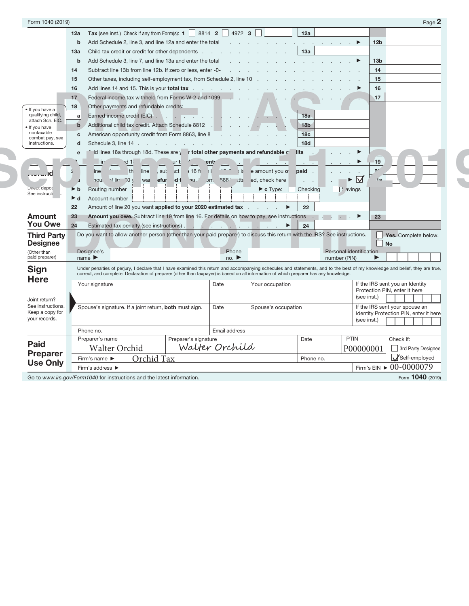|                                      | Form 1040 (2019)                                                                                                                                                                                                                                                                                                      |                                                                                                     |                               |                                      |                                        |                                 |                |           | Page 2                                 |
|--------------------------------------|-----------------------------------------------------------------------------------------------------------------------------------------------------------------------------------------------------------------------------------------------------------------------------------------------------------------------|-----------------------------------------------------------------------------------------------------|-------------------------------|--------------------------------------|----------------------------------------|---------------------------------|----------------|-----------|----------------------------------------|
|                                      | 12a                                                                                                                                                                                                                                                                                                                   | Tax (see inst.) Check if any from Form(s): $1 \square 8814 2 \square 4972 3 \square$                |                               | 12a                                  |                                        |                                 |                |           |                                        |
|                                      | $\mathbf b$<br>Add Schedule 2, line 3, and line 12a and enter the total                                                                                                                                                                                                                                               |                                                                                                     |                               |                                      |                                        | 12 <sub>b</sub>                 |                |           |                                        |
|                                      | 13a                                                                                                                                                                                                                                                                                                                   | Child tax credit or credit for other dependents                                                     |                               | 13a                                  |                                        |                                 |                |           |                                        |
|                                      | b<br>Add Schedule 3, line 7, and line 13a and enter the total                                                                                                                                                                                                                                                         |                                                                                                     |                               | and a strategic control of the state |                                        | 13 <sub>b</sub>                 |                |           |                                        |
|                                      | 14<br>Subtract line 13b from line 12b. If zero or less, enter -0-                                                                                                                                                                                                                                                     |                                                                                                     |                               |                                      |                                        | 14                              |                |           |                                        |
|                                      | 15                                                                                                                                                                                                                                                                                                                    | Other taxes, including self-employment tax, from Schedule 2, line 10                                |                               |                                      |                                        | 15                              |                |           |                                        |
|                                      | 16                                                                                                                                                                                                                                                                                                                    | Add lines 14 and 15. This is your <b>total tax</b>                                                  |                               |                                      |                                        | 16                              |                |           |                                        |
|                                      | Federal income tax withheld from Forms W-2 and 1099<br>17                                                                                                                                                                                                                                                             |                                                                                                     |                               |                                      |                                        | 17                              |                |           |                                        |
| • If you have a                      | Other payments and refundable credits:<br>18                                                                                                                                                                                                                                                                          |                                                                                                     |                               |                                      |                                        |                                 |                |           |                                        |
| qualifying child,                    | Earned income credit (EIC)<br>a                                                                                                                                                                                                                                                                                       |                                                                                                     |                               | 18a                                  |                                        |                                 |                |           |                                        |
| attach Sch. EIC.<br>• If you have    | Additional child tax credit. Attach Schedule 8812<br>$\mathbf b$                                                                                                                                                                                                                                                      |                                                                                                     |                               | 18 <sub>b</sub>                      |                                        |                                 |                |           |                                        |
| nontaxable<br>combat pay, see        | American opportunity credit from Form 8863, line 8<br>С                                                                                                                                                                                                                                                               |                                                                                                     |                               | 18 <sub>c</sub>                      |                                        |                                 |                |           |                                        |
| instructions.                        | Schedule 3, line 14<br>d                                                                                                                                                                                                                                                                                              | the company of the company of the company                                                           |                               | 18d                                  |                                        |                                 |                |           |                                        |
|                                      | e                                                                                                                                                                                                                                                                                                                     | Id lines 18a through 18d. These are $\frac{1}{10}$ r total other payments and refundable c          |                               | lits                                 |                                        |                                 |                |           |                                        |
|                                      | lin<br>՝d 1                                                                                                                                                                                                                                                                                                           | entr<br>ur t                                                                                        |                               | $\sim$                               |                                        | 19                              |                |           |                                        |
| Id                                   | th<br>line<br>ine                                                                                                                                                                                                                                                                                                     | $\frac{1}{2}$ 16 ft<br>ict<br>sut                                                                   | is e amount you of            | paid<br>÷.                           |                                        | $\mathfrak{p}$                  |                |           |                                        |
|                                      | $\frac{1}{10}$ flin $\frac{1}{10}$<br>war<br>efur                                                                                                                                                                                                                                                                     | Id t<br>$\mathbf{u}$ .<br>$\overline{3}$ m                                                          | 988 atta ed, check here       |                                      | $\blacktriangleright$ $\triangleright$ |                                 | 1 <sub>n</sub> |           |                                        |
| Direct depos<br>See instructi        | Routing number<br>▶b                                                                                                                                                                                                                                                                                                  |                                                                                                     | $\blacktriangleright$ c Type: | Checking                             | $\frac{1}{2}$ svings                   |                                 |                |           |                                        |
|                                      | $\blacktriangleright$ d<br>Account number                                                                                                                                                                                                                                                                             |                                                                                                     |                               |                                      |                                        |                                 |                |           |                                        |
|                                      | 22                                                                                                                                                                                                                                                                                                                    | Amount of line 20 you want applied to your 2020 estimated tax                                       |                               | 22                                   |                                        |                                 |                |           |                                        |
| <b>Amount</b>                        | 23                                                                                                                                                                                                                                                                                                                    | <b>Amount you owe.</b> Subtract line 19 from line 16. For details on how to pay, see instructions . |                               | $\mathcal{A}=\mathcal{A}$ .          | $\sim$                                 | ▶<br>23                         |                |           |                                        |
| <b>You Owe</b>                       | 24                                                                                                                                                                                                                                                                                                                    | Estimated tax penalty (see instructions)                                                            | ▶                             | 24                                   |                                        |                                 |                |           |                                        |
| <b>Third Party</b>                   | Do you want to allow another person (other than your paid preparer) to discuss this return with the IRS? See instructions.                                                                                                                                                                                            |                                                                                                     |                               |                                      |                                        |                                 |                |           | Yes. Complete below.                   |
|                                      |                                                                                                                                                                                                                                                                                                                       |                                                                                                     |                               |                                      |                                        |                                 | No             |           |                                        |
| <b>Designee</b>                      |                                                                                                                                                                                                                                                                                                                       |                                                                                                     |                               |                                      |                                        |                                 |                |           |                                        |
| (Other than                          | Designee's                                                                                                                                                                                                                                                                                                            | Phone                                                                                               |                               |                                      | Personal identification                |                                 |                |           |                                        |
| paid preparer)                       | $name \triangleright$                                                                                                                                                                                                                                                                                                 | no.                                                                                                 |                               |                                      | number (PIN)                           |                                 |                |           |                                        |
| <b>Sign</b>                          | Under penalties of perjury, I declare that I have examined this return and accompanying schedules and statements, and to the best of my knowledge and belief, they are true,<br>correct, and complete. Declaration of preparer (other than taxpayer) is based on all information of which preparer has any knowledge. |                                                                                                     |                               |                                      |                                        |                                 |                |           |                                        |
| <b>Here</b>                          | Your signature                                                                                                                                                                                                                                                                                                        | Date                                                                                                | Your occupation               |                                      |                                        | If the IRS sent you an Identity |                |           |                                        |
|                                      |                                                                                                                                                                                                                                                                                                                       |                                                                                                     |                               |                                      |                                        | Protection PIN, enter it here   |                |           |                                        |
| Joint return?                        |                                                                                                                                                                                                                                                                                                                       |                                                                                                     |                               |                                      |                                        | (see inst.)                     |                |           |                                        |
| See instructions.<br>Keep a copy for | Spouse's signature. If a joint return, both must sign.                                                                                                                                                                                                                                                                | Date                                                                                                | Spouse's occupation           |                                      |                                        | If the IRS sent your spouse an  |                |           |                                        |
| your records.                        |                                                                                                                                                                                                                                                                                                                       |                                                                                                     |                               |                                      |                                        | (see inst.)                     |                |           | Identity Protection PIN, enter it here |
|                                      | Phone no.                                                                                                                                                                                                                                                                                                             | Email address                                                                                       |                               |                                      |                                        |                                 |                |           |                                        |
|                                      | Preparer's name                                                                                                                                                                                                                                                                                                       | Preparer's signature                                                                                |                               | Date                                 | <b>PTIN</b>                            |                                 |                | Check if: |                                        |
| <b>Paid</b>                          | Walter Orchid                                                                                                                                                                                                                                                                                                         | Walter Orchild                                                                                      |                               |                                      |                                        | P00000001                       |                |           | 3rd Party Designee                     |
| <b>Preparer</b><br><b>Use Only</b>   | Orchid Tax<br>Firm's name ▶                                                                                                                                                                                                                                                                                           |                                                                                                     |                               | Phone no.                            |                                        |                                 |                |           | Self-employed                          |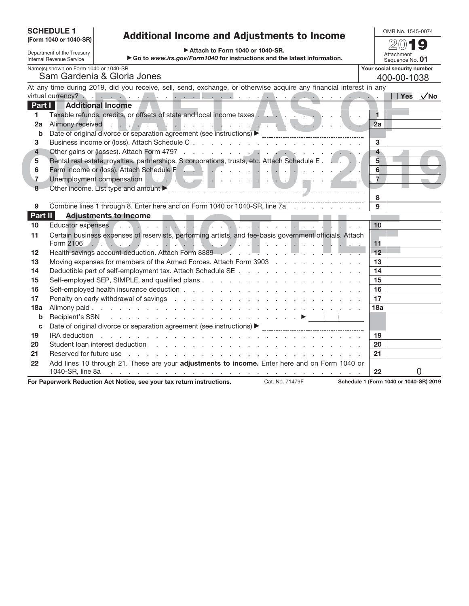**SCHEDULE 1 (Form 1040 or 1040-SR)** 

## **Additional Income and Adjustments to Income**

Department of the Treasury Internal Revenue Service

▶ Attach to Form 1040 or 1040-SR.

▶ Go to www.irs.gov/Form1040 for instructions and the latest information.

Attachment Sequence No. **01** Name(s) shown on Form 1040 or 1040-SR **Your social security number**

OMB No. 1545-0074 20**19**

## Sam Gardenia & Gloria Jones 400-00-1038

|                | At any time during 2019, did you receive, sell, send, exchange, or otherwise acquire any financial interest in any                                                                                                             |                |                                        |  |
|----------------|--------------------------------------------------------------------------------------------------------------------------------------------------------------------------------------------------------------------------------|----------------|----------------------------------------|--|
|                |                                                                                                                                                                                                                                |                |                                        |  |
| <b>Part I</b>  | <b>Additional Income</b>                                                                                                                                                                                                       |                |                                        |  |
| $\blacksquare$ | Taxable refunds, credits, or offsets of state and local income taxes.                                                                                                                                                          | $\overline{1}$ |                                        |  |
| 2a             |                                                                                                                                                                                                                                | 2a             |                                        |  |
| b              |                                                                                                                                                                                                                                |                |                                        |  |
| 3              |                                                                                                                                                                                                                                | $\mathbf{3}$   |                                        |  |
| 4              |                                                                                                                                                                                                                                | 4              |                                        |  |
| 5              | Rental real estate, royalties, partnerships, S corporations, trusts, etc. Attach Schedule E                                                                                                                                    | $\overline{5}$ |                                        |  |
| 6              | Farm income or (loss). Attach Schedule Fermi and Schedule Fermi and Schedule Fermi and Schedule Fermi and Schedule Fermi and Schedule Fermi and Schedule Fermi and Schedule Fermi and Schedule Fermi and Schedule Fermi and Sc | 6              |                                        |  |
| $\overline{7}$ |                                                                                                                                                                                                                                | $\overline{7}$ |                                        |  |
| 8              |                                                                                                                                                                                                                                |                |                                        |  |
|                |                                                                                                                                                                                                                                | 8              |                                        |  |
| 9              | Combine lines 1 through 8. Enter here and on Form 1040 or 1040-SR, line 7a                                                                                                                                                     | $\overline{9}$ |                                        |  |
| Part II        | <b>Adjustments to Income</b>                                                                                                                                                                                                   |                |                                        |  |
| 10             | Educator expenses et al., and a control of the control of the control of the control of the control of the control of the control of the control of the control of the control of the control of the control of the control of | 10             |                                        |  |
| 11             | Certain business expenses of reservists, performing artists, and fee-basis government officials. Attach                                                                                                                        |                |                                        |  |
|                |                                                                                                                                                                                                                                | 11             |                                        |  |
| 12             | Health savings account deduction. Attach Form 8889 And Alexander Alexander Alexander Alexander Alexander Alexander                                                                                                             | 12             |                                        |  |
| 13             | Moving expenses for members of the Armed Forces. Attach Form 3903                                                                                                                                                              | 13             |                                        |  |
| 14             |                                                                                                                                                                                                                                | 14             |                                        |  |
| 15             |                                                                                                                                                                                                                                | 15             |                                        |  |
| 16             |                                                                                                                                                                                                                                | 16             |                                        |  |
| 17             |                                                                                                                                                                                                                                | 17             |                                        |  |
| 18a            |                                                                                                                                                                                                                                | 18a            |                                        |  |
| b              |                                                                                                                                                                                                                                |                |                                        |  |
| C              |                                                                                                                                                                                                                                |                |                                        |  |
| 19             |                                                                                                                                                                                                                                | 19             |                                        |  |
| 20             |                                                                                                                                                                                                                                | 20             |                                        |  |
| 21             | Reserved for future use received a receiver and contact the contact the contact of the contact of the contact of the contact of the contact of the contact of the contact of the contact of the contact of the contact of the  | 21             |                                        |  |
| 22             | Add lines 10 through 21. These are your adjustments to income. Enter here and on Form 1040 or                                                                                                                                  |                |                                        |  |
|                |                                                                                                                                                                                                                                | 22             |                                        |  |
|                | For Paperwork Reduction Act Notice, see your tax return instructions.<br>Cat. No. 71479F                                                                                                                                       |                | Schedule 1 (Form 1040 or 1040-SR) 2019 |  |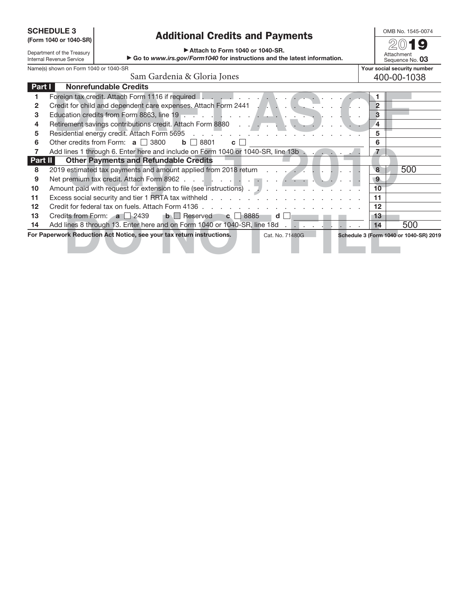| <b>SCHEDULE 3</b>      |  |
|------------------------|--|
| (Form 1040 or 1040-SR) |  |

Department of the Treasury Internal Revenue Service

# **Additional Credits and Payments**

OMB No. 1545-0074 20**19**

|  |  | Attach to Form 1040 or 1040-SR. |
|--|--|---------------------------------|
|  |  |                                 |

▶ Go to www.irs.gov/Form1040 for instructions and the latest information.

Attachment Sequence No. **03**

Name(s) shown on Form 1040 or 1040-SR<br>
Sam Gardenia & Gloria Jones **Your social security number**<br>
400-00-1038 Sam Gardenia & Gloria Jones

|         |                                                                                                        |                 | 1 <b>0 0 0 1 0 0 0 1 0 1 0 1 0</b>     |
|---------|--------------------------------------------------------------------------------------------------------|-----------------|----------------------------------------|
| Part I  | <b>Nonrefundable Credits</b>                                                                           |                 |                                        |
|         | Foreign tax credit. Attach Form 1116 if required                                                       |                 |                                        |
| 2       | Credit for child and dependent care expenses. Attach Form 2441                                         | $\mathbf{2}$    |                                        |
| 3       |                                                                                                        | 3               |                                        |
| 4       |                                                                                                        | $\overline{4}$  |                                        |
| 5       |                                                                                                        | 5               |                                        |
| 6       | $\mathbf{b}$ 3801<br>Other credits from Form: $a \mid$ 3800<br>$c \mid \mid$                           | 6               |                                        |
|         | Add lines 1 through 6. Enter here and include on Form 1040 or 1040-SR, line 13b                        |                 |                                        |
| Part II | <b>Other Payments and Refundable Credits</b>                                                           |                 |                                        |
| 8       | 2019 estimated tax payments and amount applied from 2018 return                                        | 8               | 500                                    |
| 9       |                                                                                                        | 9               |                                        |
| 10      | Amount paid with request for extension to file (see instructions) . 7                                  | 10 <sup>1</sup> |                                        |
| 11      |                                                                                                        | 11              |                                        |
| $12 \,$ |                                                                                                        | 12 <sup>2</sup> |                                        |
| 13      | $\bullet$ Reserved c 8885<br>Credits from Form: $\mathbf{a}$   2439<br>$\blacksquare$ d $\blacksquare$ | 13 <sub>1</sub> |                                        |
| 14      | Add lines 8 through 13. Enter here and on Form 1040 or 1040-SR, line 18d                               | 14              | 500                                    |
|         | For Paperwork Reduction Act Notice, see your tax return instructions.<br>Cat. No. 71480G               |                 | Schedule 3 (Form 1040 or 1040-SR) 2019 |
|         |                                                                                                        |                 |                                        |
|         |                                                                                                        |                 |                                        |
|         |                                                                                                        |                 |                                        |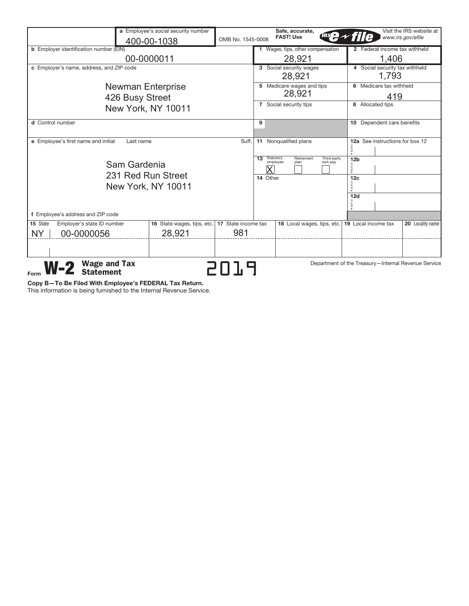| a Employee's social security number<br>400-00-1038                                                     | OMB No. 1545-0008                                |                                   | Safe, accurate,<br><b>FAST! Use</b>                                |                                             | e                       |                            | Visit the IRS website at<br>www.irs.gov/efile |                  |
|--------------------------------------------------------------------------------------------------------|--------------------------------------------------|-----------------------------------|--------------------------------------------------------------------|---------------------------------------------|-------------------------|----------------------------|-----------------------------------------------|------------------|
| <b>b</b> Employer identification number (EIN)                                                          |                                                  |                                   | 2 Federal income tax withheld<br>1 Wages, tips, other compensation |                                             |                         |                            |                                               |                  |
|                                                                                                        | 00-0000011                                       |                                   |                                                                    | 28,921                                      |                         |                            | 1,406                                         |                  |
| c Employer's name, address, and ZIP code                                                               |                                                  | 3 Social security wages<br>28,921 |                                                                    | 4 Social security tax withheld<br>1,793     |                         |                            |                                               |                  |
| <b>Newman Enterprise</b>                                                                               |                                                  |                                   |                                                                    | 5 Medicare wages and tips                   |                         |                            | 6 Medicare tax withheld                       |                  |
| 426 Busy Street                                                                                        |                                                  |                                   |                                                                    | 28,921                                      |                         |                            | 419                                           |                  |
|                                                                                                        | New York, NY 10011                               |                                   |                                                                    | 7 Social security tips                      |                         | 8 Allocated tips           |                                               |                  |
| d Control number                                                                                       | 9                                                | 10 Dependent care benefits        |                                                                    |                                             |                         |                            |                                               |                  |
| e Employee's first name and initial<br>Last name                                                       |                                                  | Suff.                             |                                                                    | 11 Nonqualified plans                       |                         | C<br>å                     | 12a See instructions for box 12               |                  |
| Sam Gardenia                                                                                           |                                                  |                                   | 13                                                                 | Statutory<br>Retirement<br>employee<br>plan | Third-party<br>sick pay | 12 <sub>b</sub><br>C<br>οc |                                               |                  |
| 231 Red Run Street                                                                                     |                                                  |                                   |                                                                    |                                             |                         | 12c                        |                                               |                  |
|                                                                                                        | New York, NY 10011                               |                                   | 14 Other                                                           |                                             |                         | å                          |                                               |                  |
|                                                                                                        |                                                  |                                   |                                                                    |                                             |                         | 12d<br>å                   |                                               |                  |
| f Employee's address and ZIP code                                                                      |                                                  |                                   |                                                                    |                                             |                         |                            |                                               |                  |
| 15 State<br>Employer's state ID number                                                                 | 16 State wages, tips, etc.   17 State income tax |                                   |                                                                    | 18 Local wages, tips, etc.                  |                         | 19 Local income tax        |                                               | 20 Locality name |
| NY.<br>00-0000056                                                                                      | 28,921                                           | 981                               |                                                                    |                                             |                         |                            |                                               |                  |
|                                                                                                        |                                                  |                                   |                                                                    |                                             |                         |                            |                                               |                  |
| <b>Wage and Tax</b><br>Department of the Treasury-Internal Revenue Service<br><b>Statement</b><br>Form |                                                  |                                   |                                                                    |                                             |                         |                            |                                               |                  |

**Copy B—To Be Filed With Employee's FEDERAL Tax Return.** 

This information is being furnished to the Internal Revenue Service.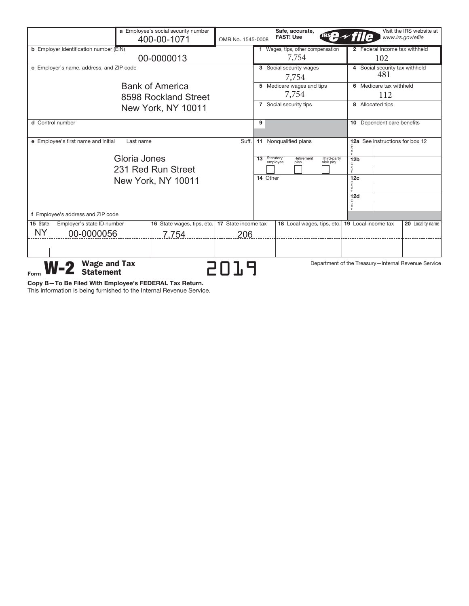|                                                                                                        | a Employee's social security number<br>400-00-1071        | OMB No. 1545-0008                                                      |                                            | Safe, accurate,<br><b>FAST! Use</b> | $\frac{7}{2}$                         | TIIA                                 |                                 | Visit the IRS website at<br>www.irs.gov/efile |
|--------------------------------------------------------------------------------------------------------|-----------------------------------------------------------|------------------------------------------------------------------------|--------------------------------------------|-------------------------------------|---------------------------------------|--------------------------------------|---------------------------------|-----------------------------------------------|
| <b>b</b> Employer identification number (EIN)<br>00-0000013                                            |                                                           |                                                                        | 1 Wages, tips, other compensation<br>7,754 |                                     |                                       | 2 Federal income tax withheld<br>102 |                                 |                                               |
| c Employer's name, address, and ZIP code                                                               |                                                           | 3 Social security wages<br>7,754<br>5 Medicare wages and tips<br>7,754 |                                            |                                     | 4 Social security tax withheld<br>481 |                                      |                                 |                                               |
| <b>Bank of America</b><br>8598 Rockland Street                                                         |                                                           |                                                                        |                                            |                                     | 6 Medicare tax withheld<br>112        |                                      |                                 |                                               |
|                                                                                                        | New York, NY 10011                                        |                                                                        |                                            | 7 Social security tips              |                                       | 8 Allocated tips                     |                                 |                                               |
| d Control number                                                                                       |                                                           | 9                                                                      |                                            |                                     |                                       | 10 Dependent care benefits           |                                 |                                               |
| e Employee's first name and initial<br>Last name                                                       |                                                           | Suff.                                                                  |                                            | 11 Nonqualified plans               |                                       | c<br>$\frac{0}{d}$                   | 12a See instructions for box 12 |                                               |
| Gloria Jones                                                                                           | 231 Red Run Street                                        |                                                                        | Statutory<br>13                            | Retirement<br>employee<br>plan      | Third-party<br>sick pay               | 12 <sub>b</sub><br>Ċ<br>ο            |                                 |                                               |
|                                                                                                        | New York, NY 10011                                        |                                                                        | 14 Other                                   |                                     |                                       | 12 <sub>c</sub><br>οc                |                                 |                                               |
|                                                                                                        |                                                           |                                                                        |                                            |                                     |                                       | 12d<br>å<br>$\circ$                  |                                 |                                               |
| f Employee's address and ZIP code                                                                      |                                                           |                                                                        |                                            |                                     |                                       |                                      |                                 |                                               |
| 15 State<br>Employer's state ID number<br><b>NY</b><br>00-0000056                                      | 16 State wages, tips, etc.   17 State income tax<br>7,754 | 206                                                                    |                                            | 18 Local wages, tips, etc.          |                                       | 19 Local income tax                  |                                 | 20 Locality name                              |
|                                                                                                        |                                                           |                                                                        |                                            |                                     |                                       |                                      |                                 |                                               |
| <b>Wage and Tax</b><br>Department of the Treasury-Internal Revenue Service<br><b>Statement</b><br>Form |                                                           |                                                                        |                                            |                                     |                                       |                                      |                                 |                                               |

**Copy B—To Be Filed With Employee's FEDERAL Tax Return.** 

This information is being furnished to the Internal Revenue Service.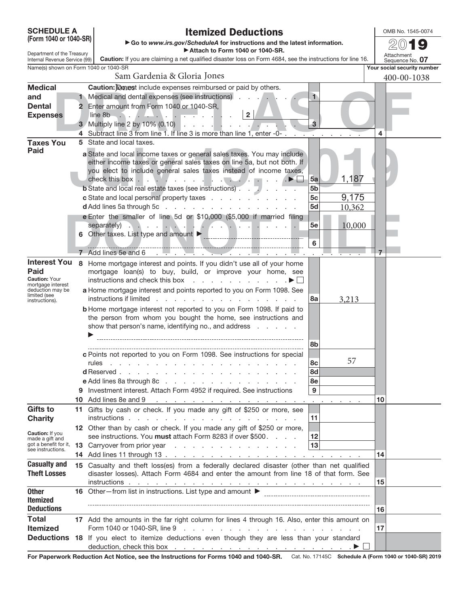**SCHEDULE A Itemized Deductions** OMB No. 1545-0074 **(Form 1040 or 1040-SR)**  20**19** ▶ Go to *www.irs.gov/ScheduleA* for instructions and the latest information. Attach to Form 1040 or 1040-SR. Department of the Treasury Attachment Sequence No. **07** Internal Revenue Service (99) **Caution:** If you are claiming a net qualified disaster loss on Form 4684, see the instructions for line 16. Name(s) shown on Form 1040 or 1040-SR **Your social security number** Sam Gardenia & Gloria Jones 400-00-1038 **Caution:** Donest include expenses reimbursed or paid by others. **Medical**  1 Medical and dental expenses (see instructions)<br>
2 Enter amount from Form 1040 or 1040-SR,<br>
<sup>3</sup> Multiply line 2 by 10% (0.10)<br>
4 Subtract line 3 from line 1. If line 3 is more than line 1, enter -0-**1** Medical and dental expenses (see instructions) ....... **1 and Dental 2** Enter amount from Form 1040 or 1040-SR, line 8b ............. **2 Expenses 3** Multiply line 2 by 10% (0.10) ............. **3 4** Subtract line 3 from line 1. If line 3 is more than line 1, enter -0- ......... **4 Taxes You 5** State and local taxes. **a** State and local income taxes or general sales taxes. You may include<br>
either income taxes or general sales taxes on line 5a, but not both. If<br>
you elect to include general sales taxes instead of income taxes,<br>
check th **Paid a**  State and local income taxes or general sales taxes. You may include either income taxes or general sales taxes on line 5a, but not both. If you elect to include general sales taxes instead of income taxes, 1 1 8 7 check this box ................. <sup>a</sup> **5a b** State and local real estate taxes (see instructions) . . . . . . . . . . . 5b 9.175 **c** State and local personal property taxes .......... **5c d** Add lines 5a through 5c ............... **5d**  10,362 **Example 10.000** CONDER TO STRAIGHT SERVICE THE SCHOOL SERVICE THE SPACE OF STRAIGHT SERVICE THE SPACE OF STRAIGHT SCHOOL SUPPORT TO A REPORT TO A REPORT TO A REPORT TO A REPORT TO A REPORT TO A REPORT TO A REPORT TO A REP **e** Enter the smaller of line 5d or \$10,000 (\$5,000 if married filing separately) . . . . . . . . . . . . . . . 5e 10,000 **6** Other taxes. List type and amount  $\blacktriangleright$ **6 7** Add lines 5e and 6 ....................... **7** Interest You 8 Home mortgage interest and points. If you didn't use all of your home **Paid** mortgage loan(s) to buy, build, or improve your home, see **Caution:** Your instructions and check this box  $\ldots$  . . . . . . . . .  $\blacktriangleright \Box$ mortgage interest **a** Home mortgage interest and points reported to you on Form 1098. See deduction may be limited (see instructions if limited ................ **8a** 3,213 instructions). **b**  Home mortgage interest not reported to you on Form 1098. If paid to the person from whom you bought the home, see instructions and show that person's name, identifying no., and address . . . . .  $\blacktriangleright$ **8b c** Points not reported to you on Form 1098. See instructions for special 57 rules ..................... **8c d** Reserved .................... **8d e** Add lines 8a through 8c ............... **8e 9** Investment interest. Attach Form 4952 if required. See instructions **9 10** Add lines 8e and 9 ....................... **10 Gifts to 11** Gifts by cash or check. If you made any gift of \$250 or more, see **Charity** instructions ................... **11 12** Other than by cash or check. If you made any gift of \$250 or more, **Caution:** If you see instructions. You **must** attach Form 8283 if over \$500.... **12**  made a gift and got a benefit for it, **13** Carryover from prior year . . . . . . . . . . . . . . 13 see instructions. **14** Add lines 11 through 13 ...................... **14 Casualty and 15** Casualty and theft loss(es) from a federally declared disaster (other than net qualified **Theft Losses**  disaster losses). Attach Form 4684 and enter the amount from line 18 of that form. See instructions .......................... **15 Other 16** Other-from list in instructions. List type and amount  $\blacktriangleright$ **Itemized Deductions 16 Total 17** Add the amounts in the far right column for lines 4 through 16. Also, enter this amount on Form 1040 or 1040-SR, line 9 .................... **17 Itemized Deductions 18** If you elect to itemize deductions even though they are less than your standard deduction, check this box .................... a

**For Paperwork Reduction Act Notice, see the Instructions for Forms 1040 and 1040-SR.** Cat. No. 17145C **Schedule A (Form 1040 or 1040-SR) 2019**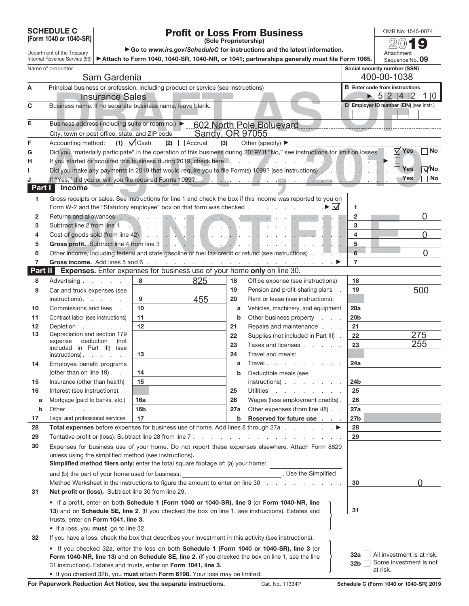**SCHEDULE C (Form 1040 or 1040-SR)** 

# **Profit or Loss From Business (Sole Proprietorship)**

▶ Go to www.irs.gov/ScheduleC for instructions and the latest information.

OMB No. 1545-0074 20**19**

|                | Department of the Treasury                                                                                                                                                                                                     |                                                                                                                                                 |                                                                                |                | $\blacktriangleright$ Go to www.irs.gov/ScheduleC for instructions and the latest information.                                                    |                 | Attachment                                  |  |  |  |
|----------------|--------------------------------------------------------------------------------------------------------------------------------------------------------------------------------------------------------------------------------|-------------------------------------------------------------------------------------------------------------------------------------------------|--------------------------------------------------------------------------------|----------------|---------------------------------------------------------------------------------------------------------------------------------------------------|-----------------|---------------------------------------------|--|--|--|
|                |                                                                                                                                                                                                                                |                                                                                                                                                 |                                                                                |                | Internal Revenue Service (99)   $\blacktriangleright$ Attach to Form 1040, 1040-SR, 1040-NR, or 1041; partnerships generally must file Form 1065. |                 | Sequence No. 09                             |  |  |  |
|                | Name of proprietor<br>Sam Gardenia                                                                                                                                                                                             |                                                                                                                                                 |                                                                                |                |                                                                                                                                                   |                 | Social security number (SSN)<br>400-00-1038 |  |  |  |
| Α              | Principal business or profession, including product or service (see instructions)                                                                                                                                              |                                                                                                                                                 |                                                                                |                |                                                                                                                                                   |                 | <b>B</b> Enter code from instructions       |  |  |  |
|                | <b>Insurance Sales</b>                                                                                                                                                                                                         |                                                                                                                                                 |                                                                                |                |                                                                                                                                                   |                 | 5 2 4 2<br>1 0                              |  |  |  |
| C              | Business name. If no separate business name, leave blank.                                                                                                                                                                      |                                                                                                                                                 |                                                                                |                |                                                                                                                                                   |                 | D Employer ID number (EIN) (see instr.)     |  |  |  |
| Е              | Business address (including suite or room no.) > 602 North Pole Boluevard                                                                                                                                                      |                                                                                                                                                 |                                                                                |                |                                                                                                                                                   |                 |                                             |  |  |  |
|                | City, town or post office, state, and ZIP code                                                                                                                                                                                 |                                                                                                                                                 | Sandy, OR 97055                                                                |                |                                                                                                                                                   |                 |                                             |  |  |  |
| F              | $(1)$ $\Box$ Cash<br>Accounting method:                                                                                                                                                                                        |                                                                                                                                                 | Accrual<br>(2)                                                                 |                | (3) $\Box$ Other (specify) $\blacktriangleright$                                                                                                  |                 | No                                          |  |  |  |
| G              |                                                                                                                                                                                                                                |                                                                                                                                                 |                                                                                |                | Did you "materially participate" in the operation of this business during 2019? If "No," see instructions for limit on losses                     |                 | $\nabla$ Yes                                |  |  |  |
| н              | If you started or acquired this business during 2019, check here in the started or acquired this business during 2019, check here in the started or set of the started or acquired this business during 2019, check here in th |                                                                                                                                                 |                                                                                |                |                                                                                                                                                   |                 | <b>V</b> No<br>$\blacksquare$ Yes           |  |  |  |
|                |                                                                                                                                                                                                                                |                                                                                                                                                 |                                                                                |                | Did you make any payments in 2019 that would require you to file Form(s) 1099? (see instructions)                                                 |                 | $\Box$ Yes<br>No                            |  |  |  |
| Part I I       | <b>Income</b>                                                                                                                                                                                                                  |                                                                                                                                                 |                                                                                |                |                                                                                                                                                   |                 |                                             |  |  |  |
| 1              |                                                                                                                                                                                                                                |                                                                                                                                                 |                                                                                |                | Gross receipts or sales. See instructions for line 1 and check the box if this income was reported to you on                                      |                 |                                             |  |  |  |
|                |                                                                                                                                                                                                                                |                                                                                                                                                 |                                                                                |                | Form W-2 and the "Statutory employee" box on that form was checked $\mathbb{R}$                                                                   | 1.              |                                             |  |  |  |
| 2              | Returns and allowances                                                                                                                                                                                                         |                                                                                                                                                 |                                                                                |                | <b>Sales State</b>                                                                                                                                | $\mathbf{2}$    | O                                           |  |  |  |
| 3              | Subtract line 2 from line 1                                                                                                                                                                                                    | $\sum_{i=1}^{n}$                                                                                                                                |                                                                                |                |                                                                                                                                                   | 3               |                                             |  |  |  |
| 4              | Cost of goods sold (from line 42)                                                                                                                                                                                              |                                                                                                                                                 | <b>Service</b> State                                                           | $\mathbb{R}^n$ | and a straight and                                                                                                                                | $\overline{4}$  | O                                           |  |  |  |
| 5              | Gross profit. Subtract line 4 from line 3                                                                                                                                                                                      |                                                                                                                                                 |                                                                                |                | <b>Contract Contract</b><br>$\mathcal{L}=\mathcal{L}$<br><b>Contract Contract</b>                                                                 | 5               |                                             |  |  |  |
| 6              | Other income, including federal and state gasoline or fuel tax credit or refund (see instructions).                                                                                                                            |                                                                                                                                                 |                                                                                |                |                                                                                                                                                   | 6               | 0                                           |  |  |  |
| 7<br>Part II I |                                                                                                                                                                                                                                |                                                                                                                                                 | <b>Expenses.</b> Enter expenses for business use of your home only on line 30. |                |                                                                                                                                                   | 7               |                                             |  |  |  |
| 8              | Advertising                                                                                                                                                                                                                    | 8                                                                                                                                               | 825                                                                            | 18             | Office expense (see instructions)                                                                                                                 | 18              |                                             |  |  |  |
| 9              | Car and truck expenses (see                                                                                                                                                                                                    |                                                                                                                                                 |                                                                                | 19             | Pension and profit-sharing plans                                                                                                                  | 19              | 500                                         |  |  |  |
|                | instructions).<br>and the control of                                                                                                                                                                                           | 9                                                                                                                                               | 455                                                                            | 20             | Rent or lease (see instructions):                                                                                                                 |                 |                                             |  |  |  |
| 10             | Commissions and fees<br>$\sim$                                                                                                                                                                                                 | 10                                                                                                                                              |                                                                                | a              | Vehicles, machinery, and equipment                                                                                                                | 20a             |                                             |  |  |  |
| 11             | Contract labor (see instructions)                                                                                                                                                                                              | 11                                                                                                                                              |                                                                                | b              | Other business property                                                                                                                           | 20 <sub>b</sub> |                                             |  |  |  |
| 12             | Depletion<br>and a state of                                                                                                                                                                                                    | $12 \,$                                                                                                                                         |                                                                                | 21             | Repairs and maintenance                                                                                                                           | 21              |                                             |  |  |  |
| 13             | Depreciation and section 179<br>deduction<br>expense<br>(not                                                                                                                                                                   |                                                                                                                                                 |                                                                                | 22             | Supplies (not included in Part III).                                                                                                              | 22              | 275                                         |  |  |  |
|                | included in Part III) (see                                                                                                                                                                                                     |                                                                                                                                                 |                                                                                | 23             | Taxes and licenses                                                                                                                                | 23              | 255                                         |  |  |  |
|                | instructions).<br><b>San America</b>                                                                                                                                                                                           | 13                                                                                                                                              |                                                                                | 24             | Travel and meals:<br>Travel.                                                                                                                      | 24a             |                                             |  |  |  |
| 14             | Employee benefit programs<br>(other than on line 19).                                                                                                                                                                          | 14                                                                                                                                              |                                                                                | a<br>b         | Deductible meals (see                                                                                                                             |                 |                                             |  |  |  |
| 15             | Insurance (other than health)                                                                                                                                                                                                  | 15                                                                                                                                              |                                                                                |                | $instructions)$ $\ldots$ $\ldots$ $\ldots$                                                                                                        | 24b             |                                             |  |  |  |
| 16             | Interest (see instructions):                                                                                                                                                                                                   |                                                                                                                                                 |                                                                                | 25             | Utilities                                                                                                                                         | 25              |                                             |  |  |  |
| a              | Mortgage (paid to banks, etc.)                                                                                                                                                                                                 | 16a                                                                                                                                             |                                                                                | 26             | Wages (less employment credits).                                                                                                                  | 26              |                                             |  |  |  |
| b              | Other                                                                                                                                                                                                                          | 16b                                                                                                                                             |                                                                                | 27a            | Other expenses (from line 48)                                                                                                                     | 27a             |                                             |  |  |  |
| 17             | Legal and professional services                                                                                                                                                                                                | 17                                                                                                                                              |                                                                                | b              | Reserved for future use                                                                                                                           | 27b             |                                             |  |  |  |
| 28             |                                                                                                                                                                                                                                |                                                                                                                                                 |                                                                                |                | Total expenses before expenses for business use of home. Add lines 8 through 27a ▶                                                                | 28              |                                             |  |  |  |
| 29             |                                                                                                                                                                                                                                |                                                                                                                                                 |                                                                                |                |                                                                                                                                                   | 29              |                                             |  |  |  |
| 30             | unless using the simplified method (see instructions).                                                                                                                                                                         |                                                                                                                                                 |                                                                                |                | Expenses for business use of your home. Do not report these expenses elsewhere. Attach Form 8829                                                  |                 |                                             |  |  |  |
|                | Simplified method filers only: enter the total square footage of: (a) your home:                                                                                                                                               |                                                                                                                                                 |                                                                                |                |                                                                                                                                                   |                 |                                             |  |  |  |
|                | and (b) the part of your home used for business:                                                                                                                                                                               |                                                                                                                                                 |                                                                                |                | . Use the Simplified                                                                                                                              |                 |                                             |  |  |  |
|                |                                                                                                                                                                                                                                |                                                                                                                                                 |                                                                                |                | Method Worksheet in the instructions to figure the amount to enter on line 30 \, \, \, \, \, \, \, \, \, \, \,                                    | 30              | O                                           |  |  |  |
| 31             | <b>Net profit or (loss).</b> Subtract line 30 from line 29.                                                                                                                                                                    |                                                                                                                                                 |                                                                                |                |                                                                                                                                                   |                 |                                             |  |  |  |
|                | • If a profit, enter on both Schedule 1 (Form 1040 or 1040-SR), line 3 (or Form 1040-NR, line                                                                                                                                  |                                                                                                                                                 |                                                                                |                |                                                                                                                                                   |                 |                                             |  |  |  |
|                | 13) and on <b>Schedule SE, line 2</b> . (If you checked the box on line 1, see instructions). Estates and                                                                                                                      |                                                                                                                                                 |                                                                                |                |                                                                                                                                                   | 31              |                                             |  |  |  |
|                | trusts, enter on Form 1041, line 3.                                                                                                                                                                                            |                                                                                                                                                 |                                                                                |                |                                                                                                                                                   |                 |                                             |  |  |  |
|                | • If a loss, you must go to line 32.                                                                                                                                                                                           |                                                                                                                                                 |                                                                                |                |                                                                                                                                                   |                 |                                             |  |  |  |
| 32             | If you have a loss, check the box that describes your investment in this activity (see instructions).                                                                                                                          |                                                                                                                                                 |                                                                                |                |                                                                                                                                                   |                 |                                             |  |  |  |
|                | • If you checked 32a, enter the loss on both <b>Schedule 1 (Form 1040 or 1040-SR), line 3</b> (or<br><b>Form 1040-NR, line 13)</b> and on <b>Schedule SE, line 2.</b> (If you checked the box on line 1, see the line          |                                                                                                                                                 |                                                                                |                |                                                                                                                                                   | 32a ∐           | All investment is at risk.                  |  |  |  |
|                |                                                                                                                                                                                                                                |                                                                                                                                                 |                                                                                |                |                                                                                                                                                   | 32b             | Some investment is not<br>at risk.          |  |  |  |
|                |                                                                                                                                                                                                                                | 31 instructions). Estates and trusts, enter on Form 1041, line 3.<br>. If you checked 32b, you must attach Form 6198. Your loss may be limited. |                                                                                |                |                                                                                                                                                   |                 |                                             |  |  |  |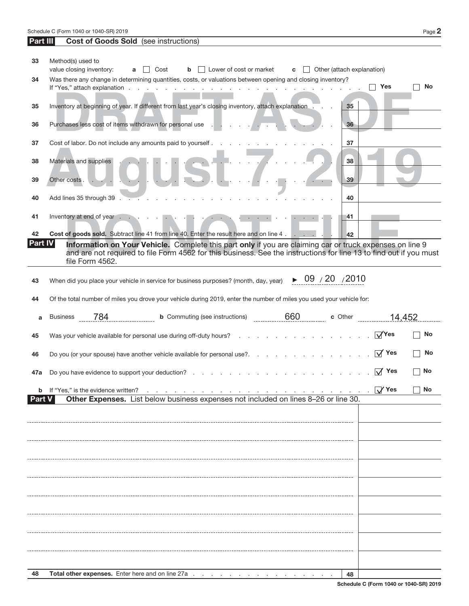Schedule C (Form 1040 or 1040-SR) 2019 Page 2

| Part III      | <b>Cost of Goods Sold</b> (see instructions)                                                                                          |                              |
|---------------|---------------------------------------------------------------------------------------------------------------------------------------|------------------------------|
|               |                                                                                                                                       |                              |
| 33            | Method(s) used to<br>value closing inventory:<br>Cost<br><b>b</b> Lower of cost or market<br>a<br>$\perp$<br>C                        | Other (attach explanation)   |
| 34            | Was there any change in determining quantities, costs, or valuations between opening and closing inventory?                           |                              |
|               | If "Yes," attach explanation<br>$\mathcal{L}^{\text{max}}$ and $\mathcal{L}^{\text{max}}$<br>and the contract of                      | Yes<br>No                    |
|               |                                                                                                                                       | 35                           |
| 35            | Inventory at beginning of year. If different from last year's closing inventory, attach explanation .                                 |                              |
| 36            | Purchases less cost of items withdrawn for personal use                                                                               | 36                           |
| 37            | Cost of labor. Do not include any amounts paid to yourself                                                                            | 37                           |
| 38            |                                                                                                                                       | 38                           |
|               | Materials and supplies<br>Other costs.                                                                                                |                              |
| 39            |                                                                                                                                       | 39                           |
| 40            | Add lines 35 through 39 .                                                                                                             | 40                           |
| 41            | Inventory at end of year $\ldots$ . $\ldots$                                                                                          | 41                           |
| 42            | <b>Cost of goods sold.</b> Subtract line 41 from line 40. Enter the result here and on line 4.                                        | 42                           |
| Part IV       | Information on Your Vehicle. Complete this part only if you are claiming car or truck expenses on line 9                              |                              |
|               | and are not required to file Form 4562 for this business. See the instructions for line 13 to find out if you must<br>file Form 4562. |                              |
|               | $\triangleright$ 09 / 20 / 2010                                                                                                       |                              |
| 43            | When did you place your vehicle in service for business purposes? (month, day, year)                                                  |                              |
| 44            | Of the total number of miles you drove your vehicle during 2019, enter the number of miles you used your vehicle for:                 |                              |
| a             | 784<br><b>Business</b>                                                                                                                | <b>c</b> Other<br>14,452     |
| 45            |                                                                                                                                       | $\sqrt{Y}$ es<br>No          |
|               |                                                                                                                                       |                              |
| 46            | Do you (or your spouse) have another vehicle available for personal use?.                                                             | $\overline{V}$ Yes<br>No     |
| 47a           |                                                                                                                                       | $\nabla$ Yes<br>No           |
|               |                                                                                                                                       | $\cdot$ $\sqrt{ }$ Yes<br>No |
| <b>Part V</b> | Other Expenses. List below business expenses not included on lines 8-26 or line 30.                                                   |                              |
|               |                                                                                                                                       |                              |
|               |                                                                                                                                       |                              |
|               |                                                                                                                                       |                              |
|               |                                                                                                                                       |                              |
|               |                                                                                                                                       |                              |
|               |                                                                                                                                       |                              |
|               |                                                                                                                                       |                              |
|               |                                                                                                                                       |                              |
|               |                                                                                                                                       |                              |
|               |                                                                                                                                       |                              |
|               | Total other expenses. Enter here and on line 27a                                                                                      |                              |
| 48            |                                                                                                                                       | 48                           |

**Schedule C (Form 1040 or 1040-SR) 2019**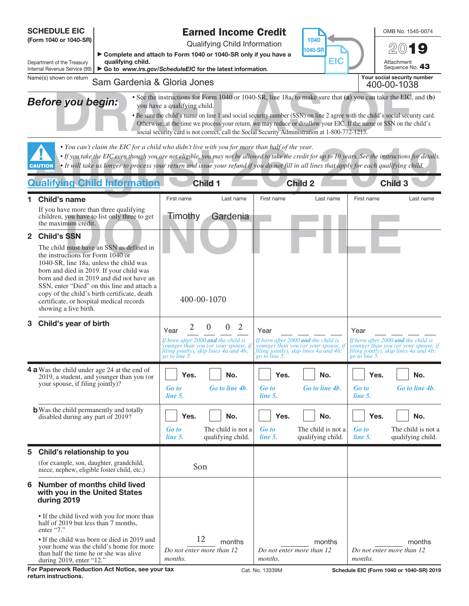**SCHEDULE EIC (Form 1040 or 1040-SR)**

# **Earned Income Credit**

Qualifying Child Information

▶ Complete and attach to Form 1040 or 1040-SR only if you have a

Department of the Treasury Internal Revenue Service (99)

F**! CAUTION**

**qualifying child.** ▶ Go to *www.irs.gov/ScheduleEIC* for the latest information.

**1040 1040-SR** . . . . . . . . . **EIC**   $\blacktriangleleft$ 

OMB No. 1545-0074

20**19** Attachment

Sequence No. **43**

Name(s) shown on return **Sam Gardenia & Gloria Jones Your social security number Your social security number** Sam Gardenia & Gloria Jones

you have a qualifying child.

**Defore you begin:** • See the instructions for Form 1040 or 1040-SR, line 18a, to make sure that **(a)** you can take the EIC, and **(b)** you have a qualifying child.<br>• Be sure the child's name on line 1 and social security n • Be sure the child's name on line 1 and social security number (SSN) on line 2 agree with the child's social security card. Otherwise, at the time we process your return, we may reduce or disallow your EIC. If the name or SSN on the child's social security card is not correct, call the Social Security Administration at 1-800-772-1213.

*• You can't claim the EIC for a child who didn't live with you for more than half of the year.* 

|    | • You can't claim the EIC for a child who didn't live with you for more than half of the year.<br>• If you take the EIC even though you are not eligible, you may not be allowed to take the credit for up to 10 years. See the instructions for details.<br>• It will take us longer to process your return and issue your refund if you do not fill in all lines that apply for each qualifying child.<br><b>CAUTION</b> |                                 |                                                                                                                       |                                 |                                                                                                                       |                                 |                                                                                                                       |
|----|----------------------------------------------------------------------------------------------------------------------------------------------------------------------------------------------------------------------------------------------------------------------------------------------------------------------------------------------------------------------------------------------------------------------------|---------------------------------|-----------------------------------------------------------------------------------------------------------------------|---------------------------------|-----------------------------------------------------------------------------------------------------------------------|---------------------------------|-----------------------------------------------------------------------------------------------------------------------|
|    | <b>Qualifying Child Information</b>                                                                                                                                                                                                                                                                                                                                                                                        |                                 | <b>Child 1</b>                                                                                                        |                                 | <b>Child 2</b>                                                                                                        |                                 | Child <sub>3</sub>                                                                                                    |
| 1. | Child's name                                                                                                                                                                                                                                                                                                                                                                                                               | First name                      | Last name                                                                                                             | First name                      | Last name                                                                                                             | First name                      | Last name                                                                                                             |
|    | If you have more than three qualifying<br>children, you have to list only three to get<br>the maximum credit.                                                                                                                                                                                                                                                                                                              | Timothy                         | Gardenia                                                                                                              |                                 |                                                                                                                       |                                 |                                                                                                                       |
|    | 2 Child's SSN                                                                                                                                                                                                                                                                                                                                                                                                              |                                 |                                                                                                                       |                                 |                                                                                                                       |                                 |                                                                                                                       |
|    | The child must have an SSN as defined in<br>the instructions for Form 1040 or<br>1040-SR, line 18a, unless the child was<br>born and died in 2019. If your child was<br>born and died in 2019 and did not have an<br>SSN, enter "Died" on this line and attach a<br>copy of the child's birth certificate, death<br>certificate, or hospital medical records<br>showing a live birth.                                      |                                 | 400-00-1070                                                                                                           |                                 |                                                                                                                       |                                 |                                                                                                                       |
|    | 3 Child's year of birth                                                                                                                                                                                                                                                                                                                                                                                                    |                                 | $\theta$<br>$\overline{2}$<br>$\Omega$                                                                                |                                 |                                                                                                                       |                                 |                                                                                                                       |
|    |                                                                                                                                                                                                                                                                                                                                                                                                                            | Year<br>go to line 5.           | If born after 2000 and the child is<br>younger than you (or your spouse, ip<br>filing jointly), skip lines 4a and 4b; | Year<br>go to line 5.           | If born after 2000 and the child is<br>younger than you (or your spouse, if<br>filing jointly), skip lines 4a and 4b; | Year<br>go to line 5.           | If born after 2000 and the child is<br>younger than you (or your spouse, if<br>filing jointly), skip lines 4a and 4b; |
|    | <b>4 a</b> Was the child under age 24 at the end of<br>2019, a student, and younger than you (or<br>your spouse, if filing jointly)?                                                                                                                                                                                                                                                                                       | Yes.<br><b>Go</b> to<br>line 5. | No.<br>Go to line 4b.                                                                                                 | Yes.<br><b>Go</b> to<br>line 5. | No.<br>Go to line 4b.                                                                                                 | Yes.<br><b>Go</b> to<br>line 5. | No.<br>Go to line 4b.                                                                                                 |
|    | <b>b</b> Was the child permanently and totally<br>disabled during any part of 2019?                                                                                                                                                                                                                                                                                                                                        | Yes.                            | No.                                                                                                                   | Yes.                            | No.                                                                                                                   | Yes.                            | No.                                                                                                                   |
|    |                                                                                                                                                                                                                                                                                                                                                                                                                            | <b>Go</b> to<br>line 5.         | The child is not a<br>qualifying child.                                                                               | <b>Go</b> to<br>line 5.         | The child is not a<br>qualifying child.                                                                               | <b>Go</b> to<br>line 5.         | The child is not a<br>qualifying child.                                                                               |
| 5  | Child's relationship to you                                                                                                                                                                                                                                                                                                                                                                                                |                                 |                                                                                                                       |                                 |                                                                                                                       |                                 |                                                                                                                       |
|    | (for example, son, daughter, grandchild,<br>niece, nephew, eligible foster child, etc.)                                                                                                                                                                                                                                                                                                                                    | Son                             |                                                                                                                       |                                 |                                                                                                                       |                                 |                                                                                                                       |
| 6. | Number of months child lived<br>with you in the United States<br>during 2019                                                                                                                                                                                                                                                                                                                                               |                                 |                                                                                                                       |                                 |                                                                                                                       |                                 |                                                                                                                       |
|    | • If the child lived with you for more than<br>half of 2019 but less than 7 months,<br>enter "7."                                                                                                                                                                                                                                                                                                                          |                                 |                                                                                                                       |                                 |                                                                                                                       |                                 |                                                                                                                       |
|    | • If the child was born or died in 2019 and<br>your home was the child's home for more<br>than half the time he or she was alive<br>during 2019, enter "12."<br>For Denominals Reduction Act Notice, and vous toy                                                                                                                                                                                                          | <i>months.</i>                  | 12<br>months<br>Do not enter more than 12                                                                             | <i>months.</i>                  | months<br>Do not enter more than 12                                                                                   | months.                         | months<br>Do not enter more than 12                                                                                   |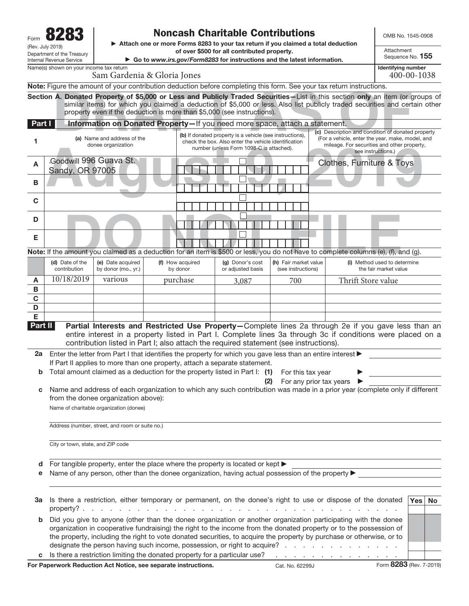| Form                                                   |  |
|--------------------------------------------------------|--|
| (Rev. July 2019)                                       |  |
| Department of the Treasury<br>Internal Revenue Service |  |

## **Noncash Charitable Contributions**

OMB No. 1545-0908

| Attach one or more Forms 8283 to your tax return if you claimed a total deduction |
|-----------------------------------------------------------------------------------|
|                                                                                   |

**of over \$500 for all contributed property.**

▶ Go to *www.irs.gov/Form8283* for instructions and the latest information. Name(s) shown on your income tax return **If the example of the example of the example of the example of the example of the example of the example of the example of the example of the example of the example of the example o** 

#### Sam Gardenia & Gloria Jones 400-00-1038

**Note:** Figure the amount of your contribution deduction before completing this form. See your tax return instructions.

**DRAFT AS OR THE SECT AS OF AS OF ASS OF ASS AS OF ASS ALSO IST AND TRACE ASSES Also list publicly traded securities and certain other property even if the deduction is more than \$5,000 (see instructions).<br>
<b>Part I Infor** similar items) for which you claimed a deduction of \$5,000 or less. Also list publicly traded securities and certain other property even if the deduction is more than \$5,000 (see instructions).

| Part I |                        | <b>Information on Donated Property</b> —If you need more space, attach a statement. |  |                                                                                                                  |                                          |                           |                                                                                                                                                                                              |  |  |  |  |  |  |
|--------|------------------------|-------------------------------------------------------------------------------------|--|------------------------------------------------------------------------------------------------------------------|------------------------------------------|---------------------------|----------------------------------------------------------------------------------------------------------------------------------------------------------------------------------------------|--|--|--|--|--|--|
|        |                        | (a) Name and address of the<br>donee organization                                   |  | (b) If donated property is a vehicle (see instructions),<br>check the box. Also enter the vehicle identification | number (unless Form 1098-C is attached). |                           | (c) Description and condition of donated property<br>(For a vehicle, enter the year, make, model, and<br>mileage. For securities and other property,<br>see instructions.)                   |  |  |  |  |  |  |
| A      | Goodwill 996 Guava St. |                                                                                     |  |                                                                                                                  |                                          | Clothes, Furniture & Toys |                                                                                                                                                                                              |  |  |  |  |  |  |
|        | Sandy, OR 97005        |                                                                                     |  |                                                                                                                  |                                          |                           | Note: If the amount you claimed as a deduction for an item is \$500 or less, you do not have to complete columns (e), (f), and (g).<br>(h) Fair market value<br>(i) Method used to determine |  |  |  |  |  |  |
| В      |                        |                                                                                     |  |                                                                                                                  |                                          |                           |                                                                                                                                                                                              |  |  |  |  |  |  |
| C      |                        |                                                                                     |  |                                                                                                                  |                                          |                           |                                                                                                                                                                                              |  |  |  |  |  |  |
|        |                        |                                                                                     |  |                                                                                                                  |                                          |                           |                                                                                                                                                                                              |  |  |  |  |  |  |
| D      |                        |                                                                                     |  |                                                                                                                  |                                          |                           |                                                                                                                                                                                              |  |  |  |  |  |  |
|        |                        |                                                                                     |  |                                                                                                                  |                                          |                           |                                                                                                                                                                                              |  |  |  |  |  |  |
| Е      |                        |                                                                                     |  |                                                                                                                  |                                          |                           |                                                                                                                                                                                              |  |  |  |  |  |  |
|        |                        |                                                                                     |  |                                                                                                                  |                                          |                           |                                                                                                                                                                                              |  |  |  |  |  |  |
|        |                        |                                                                                     |  |                                                                                                                  |                                          |                           |                                                                                                                                                                                              |  |  |  |  |  |  |
|        | (d) Date of the        | (e) Date acquired                                                                   |  | (f) How acquired                                                                                                 | (g) Donor's cost                         |                           |                                                                                                                                                                                              |  |  |  |  |  |  |

|   | (d) Date of the<br>contribution | (e) Date acquired<br>by donor (mo., yr.) $\vert$ | (f) How acquired<br>by donor | (g) Donor's cost<br>or adjusted basis | (h) Fair market value<br>(see instructions) | (i) Method used to determine<br>the fair market value |  |  |  |  |  |  |  |
|---|---------------------------------|--------------------------------------------------|------------------------------|---------------------------------------|---------------------------------------------|-------------------------------------------------------|--|--|--|--|--|--|--|
| A | 10/18/2019                      | various                                          | purchase                     | 3,087                                 | 700                                         | Thrift Store value                                    |  |  |  |  |  |  |  |
| в |                                 |                                                  |                              |                                       |                                             |                                                       |  |  |  |  |  |  |  |
|   |                                 |                                                  |                              |                                       |                                             |                                                       |  |  |  |  |  |  |  |
|   |                                 |                                                  |                              |                                       |                                             |                                                       |  |  |  |  |  |  |  |
|   |                                 |                                                  |                              |                                       |                                             |                                                       |  |  |  |  |  |  |  |

Part II Partial Interests and Restricted Use Property–Complete lines 2a through 2e if you gave less than an entire interest in a property listed in Part I. Complete lines 3a through 3c if conditions were placed on a contribution listed in Part I; also attach the required statement (see instructions).

2a Enter the letter from Part I that identifies the property for which you gave less than an entire interest  $\blacktriangleright$ If Part II applies to more than one property, attach a separate statement.

**b** Total amount claimed as a deduction for the property listed in Part I: (1) For this tax year

**(2)** For any prior tax years

**c** Name and address of each organization to which any such contribution was made in a prior year (complete only if different from the donee organization above):

Name of charitable organization (donee)

Address (number, street, and room or suite no.)

City or town, state, and ZIP code

**d** For tangible property, enter the place where the property is located or kept  $\blacktriangleright$ 

Name of any person, other than the donee organization, having actual possession of the property  $\blacktriangleright$ 

|    | 3a Is there a restriction, either temporary or permanent, on the donee's right to use or dispose of the donated                                                                                                                                                                                                                                                                                                                            | Yes, | <b>No</b> |
|----|--------------------------------------------------------------------------------------------------------------------------------------------------------------------------------------------------------------------------------------------------------------------------------------------------------------------------------------------------------------------------------------------------------------------------------------------|------|-----------|
| b  | Did you give to anyone (other than the donee organization or another organization participating with the donee<br>organization in cooperative fundraising) the right to the income from the donated property or to the possession of<br>the property, including the right to vote donated securities, to acquire the property by purchase or otherwise, or to<br>designate the person having such income, possession, or right to acquire? |      |           |
| C. | Is there a restriction limiting the donated property for a particular use?                                                                                                                                                                                                                                                                                                                                                                 |      |           |

**For Paperwork Reduction Act Notice, see separate instructions.** Cat. No. 62299J Form **8283** (Rev. 7-2019)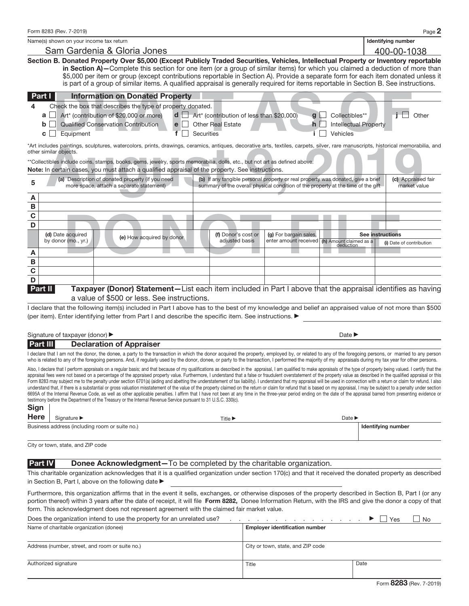|                | Name(s) shown on your income tax return                                                                                                                                                                                                                                                                                                                                                                                                                                                                                                                                                                                                                                                                                                                                                                                                                                                                                                                                                                                                                                                                                                                                                                                                                           |                                                                                                                                                                       | Identifying number                                  |
|----------------|-------------------------------------------------------------------------------------------------------------------------------------------------------------------------------------------------------------------------------------------------------------------------------------------------------------------------------------------------------------------------------------------------------------------------------------------------------------------------------------------------------------------------------------------------------------------------------------------------------------------------------------------------------------------------------------------------------------------------------------------------------------------------------------------------------------------------------------------------------------------------------------------------------------------------------------------------------------------------------------------------------------------------------------------------------------------------------------------------------------------------------------------------------------------------------------------------------------------------------------------------------------------|-----------------------------------------------------------------------------------------------------------------------------------------------------------------------|-----------------------------------------------------|
|                | Sam Gardenia & Gloria Jones                                                                                                                                                                                                                                                                                                                                                                                                                                                                                                                                                                                                                                                                                                                                                                                                                                                                                                                                                                                                                                                                                                                                                                                                                                       |                                                                                                                                                                       | 400-00-1038                                         |
|                | Section B. Donated Property Over \$5,000 (Except Publicly Traded Securities, Vehicles, Intellectual Property or Inventory reportable<br>in Section A) - Complete this section for one item (or a group of similar items) for which you claimed a deduction of more than<br>\$5,000 per item or group (except contributions reportable in Section A). Provide a separate form for each item donated unless it<br>is part of a group of similar items. A qualified appraisal is generally required for items reportable in Section B. See instructions.                                                                                                                                                                                                                                                                                                                                                                                                                                                                                                                                                                                                                                                                                                             |                                                                                                                                                                       |                                                     |
| Part I         | <b>Information on Donated Property</b>                                                                                                                                                                                                                                                                                                                                                                                                                                                                                                                                                                                                                                                                                                                                                                                                                                                                                                                                                                                                                                                                                                                                                                                                                            |                                                                                                                                                                       |                                                     |
|                | Check the box that describes the type of property donated.                                                                                                                                                                                                                                                                                                                                                                                                                                                                                                                                                                                                                                                                                                                                                                                                                                                                                                                                                                                                                                                                                                                                                                                                        |                                                                                                                                                                       |                                                     |
| а              | Art* (contribution of \$20,000 or more)<br>$\mathbf{d}$ $\Box$ Art* (contribution of less than \$20,000)                                                                                                                                                                                                                                                                                                                                                                                                                                                                                                                                                                                                                                                                                                                                                                                                                                                                                                                                                                                                                                                                                                                                                          | Collectibles**<br>$q \mid$                                                                                                                                            | $\mathbf{i}$<br>Other                               |
| b              | Qualified Conservation Contribution<br><b>Other Real Estate</b><br>e <sub>1</sub>                                                                                                                                                                                                                                                                                                                                                                                                                                                                                                                                                                                                                                                                                                                                                                                                                                                                                                                                                                                                                                                                                                                                                                                 | <b>Intellectual Property</b><br>h / I                                                                                                                                 |                                                     |
| c              | f<br>Securities<br>Equipment                                                                                                                                                                                                                                                                                                                                                                                                                                                                                                                                                                                                                                                                                                                                                                                                                                                                                                                                                                                                                                                                                                                                                                                                                                      | ï.<br>Vehicles                                                                                                                                                        |                                                     |
|                | *Art includes paintings, sculptures, watercolors, prints, drawings, ceramics, antiques, decorative arts, textiles, carpets, silver, rare manuscripts, historical memorabilia, and<br>other similar objects.                                                                                                                                                                                                                                                                                                                                                                                                                                                                                                                                                                                                                                                                                                                                                                                                                                                                                                                                                                                                                                                       |                                                                                                                                                                       |                                                     |
|                | **Collectibles include coins, stamps, books, gems, jewelry, sports memorabilia, dolls, etc., but not art as defined above.                                                                                                                                                                                                                                                                                                                                                                                                                                                                                                                                                                                                                                                                                                                                                                                                                                                                                                                                                                                                                                                                                                                                        |                                                                                                                                                                       |                                                     |
|                | Note: In certain cases, you must attach a qualified appraisal of the property. See instructions.                                                                                                                                                                                                                                                                                                                                                                                                                                                                                                                                                                                                                                                                                                                                                                                                                                                                                                                                                                                                                                                                                                                                                                  |                                                                                                                                                                       |                                                     |
| 5              | (a) Description of donated property (if you need<br>more space, attach a separate statement)                                                                                                                                                                                                                                                                                                                                                                                                                                                                                                                                                                                                                                                                                                                                                                                                                                                                                                                                                                                                                                                                                                                                                                      | (b) If any tangible personal property or real property was donated, give a brief<br>summary of the overall physical condition of the property at the time of the gift | (c) Appraised fair<br>market value                  |
| A              |                                                                                                                                                                                                                                                                                                                                                                                                                                                                                                                                                                                                                                                                                                                                                                                                                                                                                                                                                                                                                                                                                                                                                                                                                                                                   |                                                                                                                                                                       |                                                     |
| B              |                                                                                                                                                                                                                                                                                                                                                                                                                                                                                                                                                                                                                                                                                                                                                                                                                                                                                                                                                                                                                                                                                                                                                                                                                                                                   |                                                                                                                                                                       |                                                     |
| C              |                                                                                                                                                                                                                                                                                                                                                                                                                                                                                                                                                                                                                                                                                                                                                                                                                                                                                                                                                                                                                                                                                                                                                                                                                                                                   |                                                                                                                                                                       |                                                     |
| D              |                                                                                                                                                                                                                                                                                                                                                                                                                                                                                                                                                                                                                                                                                                                                                                                                                                                                                                                                                                                                                                                                                                                                                                                                                                                                   |                                                                                                                                                                       |                                                     |
|                | (d) Date acquired<br>(f) Donor's cost or<br>(e) How acquired by donor<br>by donor (mo., yr.)<br>adjusted basis                                                                                                                                                                                                                                                                                                                                                                                                                                                                                                                                                                                                                                                                                                                                                                                                                                                                                                                                                                                                                                                                                                                                                    | (g) For bargain sales,<br>enter amount received<br>(h) Amount claimed as a<br>deduction                                                                               | <b>See instructions</b><br>(i) Date of contribution |
| A              |                                                                                                                                                                                                                                                                                                                                                                                                                                                                                                                                                                                                                                                                                                                                                                                                                                                                                                                                                                                                                                                                                                                                                                                                                                                                   |                                                                                                                                                                       |                                                     |
| В              |                                                                                                                                                                                                                                                                                                                                                                                                                                                                                                                                                                                                                                                                                                                                                                                                                                                                                                                                                                                                                                                                                                                                                                                                                                                                   |                                                                                                                                                                       |                                                     |
| C              |                                                                                                                                                                                                                                                                                                                                                                                                                                                                                                                                                                                                                                                                                                                                                                                                                                                                                                                                                                                                                                                                                                                                                                                                                                                                   |                                                                                                                                                                       |                                                     |
| D              |                                                                                                                                                                                                                                                                                                                                                                                                                                                                                                                                                                                                                                                                                                                                                                                                                                                                                                                                                                                                                                                                                                                                                                                                                                                                   |                                                                                                                                                                       |                                                     |
| Part II        | Taxpayer (Donor) Statement-List each item included in Part I above that the appraisal identifies as having                                                                                                                                                                                                                                                                                                                                                                                                                                                                                                                                                                                                                                                                                                                                                                                                                                                                                                                                                                                                                                                                                                                                                        |                                                                                                                                                                       |                                                     |
|                | a value of \$500 or less. See instructions.<br>I declare that the following item(s) included in Part I above has to the best of my knowledge and belief an appraised value of not more than \$500                                                                                                                                                                                                                                                                                                                                                                                                                                                                                                                                                                                                                                                                                                                                                                                                                                                                                                                                                                                                                                                                 |                                                                                                                                                                       |                                                     |
|                | (per item). Enter identifying letter from Part I and describe the specific item. See instructions. ▶                                                                                                                                                                                                                                                                                                                                                                                                                                                                                                                                                                                                                                                                                                                                                                                                                                                                                                                                                                                                                                                                                                                                                              |                                                                                                                                                                       |                                                     |
|                |                                                                                                                                                                                                                                                                                                                                                                                                                                                                                                                                                                                                                                                                                                                                                                                                                                                                                                                                                                                                                                                                                                                                                                                                                                                                   |                                                                                                                                                                       |                                                     |
|                | Signature of taxpayer (donor) ▶                                                                                                                                                                                                                                                                                                                                                                                                                                                                                                                                                                                                                                                                                                                                                                                                                                                                                                                                                                                                                                                                                                                                                                                                                                   | Date $\blacktriangleright$                                                                                                                                            |                                                     |
| Part III       | <b>Declaration of Appraiser</b>                                                                                                                                                                                                                                                                                                                                                                                                                                                                                                                                                                                                                                                                                                                                                                                                                                                                                                                                                                                                                                                                                                                                                                                                                                   |                                                                                                                                                                       |                                                     |
|                | I declare that I am not the donor, the donee, a party to the transaction in which the donor acquired the property, employed by, or related to any of the foregoing persons, or married to any person<br>who is related to any of the foregoing persons. And, if regularly used by the donor, donee, or party to the transaction, I performed the majority of my appraisals during my tax year for other persons.                                                                                                                                                                                                                                                                                                                                                                                                                                                                                                                                                                                                                                                                                                                                                                                                                                                  |                                                                                                                                                                       |                                                     |
| Sign           | Also, I declare that I perform appraisals on a regular basis; and that because of my qualifications as described in the appraisal, I am qualified to make appraisals of the type of property being valued. I certify that the<br>appraisal fees were not based on a percentage of the appraised property value. Furthermore, I understand that a false or fraudulent overstatement of the property value as described in the qualified appraisal or this<br>Form 8283 may subject me to the penalty under section 6701(a) (aiding and abetting the understatement of tax liability). I understand that my appraisal will be used in connection with a return or claim for refund. I also<br>understand that, if there is a substantial or gross valuation misstatement of the value of the property claimed on the return or claim for refund that is based on my appraisal, I may be subject to a penalty under section<br>6695A of the Internal Revenue Code, as well as other applicable penalties. I affirm that I have not been at any time in the three-year period ending on the date of the appraisal barred from presenting evidence or<br>testimony before the Department of the Treasury or the Internal Revenue Service pursuant to 31 U.S.C. 330(c). |                                                                                                                                                                       |                                                     |
| <b>Here</b>    | Signature ▶<br>Title $\blacktriangleright$                                                                                                                                                                                                                                                                                                                                                                                                                                                                                                                                                                                                                                                                                                                                                                                                                                                                                                                                                                                                                                                                                                                                                                                                                        | Date $\blacktriangleright$                                                                                                                                            |                                                     |
|                | Business address (including room or suite no.)                                                                                                                                                                                                                                                                                                                                                                                                                                                                                                                                                                                                                                                                                                                                                                                                                                                                                                                                                                                                                                                                                                                                                                                                                    |                                                                                                                                                                       | Identifying number                                  |
|                | City or town, state, and ZIP code                                                                                                                                                                                                                                                                                                                                                                                                                                                                                                                                                                                                                                                                                                                                                                                                                                                                                                                                                                                                                                                                                                                                                                                                                                 |                                                                                                                                                                       |                                                     |
|                |                                                                                                                                                                                                                                                                                                                                                                                                                                                                                                                                                                                                                                                                                                                                                                                                                                                                                                                                                                                                                                                                                                                                                                                                                                                                   |                                                                                                                                                                       |                                                     |
| <b>Part IV</b> | <b>Donee Acknowledgment</b> -To be completed by the charitable organization.                                                                                                                                                                                                                                                                                                                                                                                                                                                                                                                                                                                                                                                                                                                                                                                                                                                                                                                                                                                                                                                                                                                                                                                      |                                                                                                                                                                       |                                                     |
|                | This charitable organization acknowledges that it is a qualified organization under section 170(c) and that it received the donated property as described                                                                                                                                                                                                                                                                                                                                                                                                                                                                                                                                                                                                                                                                                                                                                                                                                                                                                                                                                                                                                                                                                                         |                                                                                                                                                                       |                                                     |
|                | in Section B, Part I, above on the following date $\blacktriangleright$                                                                                                                                                                                                                                                                                                                                                                                                                                                                                                                                                                                                                                                                                                                                                                                                                                                                                                                                                                                                                                                                                                                                                                                           |                                                                                                                                                                       |                                                     |
|                | Furthermore, this organization affirms that in the event it sells, exchanges, or otherwise disposes of the property described in Section B, Part I (or any<br>portion thereof) within 3 years after the date of receipt, it will file Form 8282, Donee Information Return, with the IRS and give the donor a copy of that<br>form. This acknowledgment does not represent agreement with the claimed fair market value.                                                                                                                                                                                                                                                                                                                                                                                                                                                                                                                                                                                                                                                                                                                                                                                                                                           |                                                                                                                                                                       |                                                     |
|                | Does the organization intend to use the property for an unrelated use?                                                                                                                                                                                                                                                                                                                                                                                                                                                                                                                                                                                                                                                                                                                                                                                                                                                                                                                                                                                                                                                                                                                                                                                            | design a state of the state of the                                                                                                                                    | Yes<br>No                                           |
|                | Name of charitable organization (donee)                                                                                                                                                                                                                                                                                                                                                                                                                                                                                                                                                                                                                                                                                                                                                                                                                                                                                                                                                                                                                                                                                                                                                                                                                           | <b>Employer identification number</b>                                                                                                                                 |                                                     |

Form 8283 (Rev. 7-2019) Page **2** 

| Address (number, street, and room or suite no.) | City or town, state, and ZIP code |      |  |  |  |  |  |
|-------------------------------------------------|-----------------------------------|------|--|--|--|--|--|
| Authorized signature                            | Title                             | Date |  |  |  |  |  |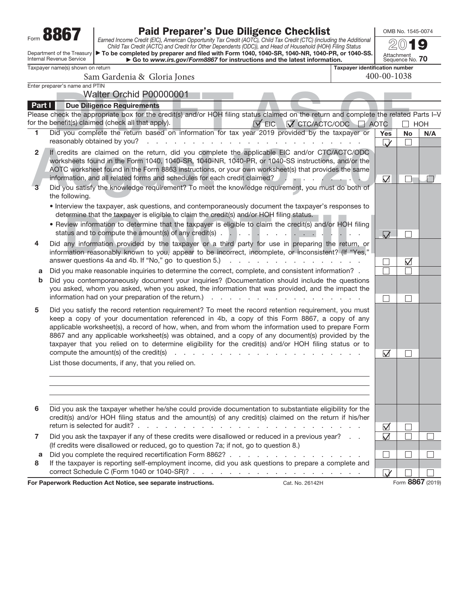|      | o<br>н<br>m<br>O |  |
|------|------------------|--|
| Form |                  |  |

# **Paid Preparer's Due Diligence Checklist**<br>Earned Income Credit (EIC), American Opportunity Tax Credit (AOTC), Child Tax Credit (CTC) (including the Additional

Child Tax Credit (ACTC) and Credit for Other Dependents (ODC)), and Head of Household (HOH) Filing Status ▶ To be completed by preparer and filed with Form 1040, 1040-SR, 1040-NR, 1040-PR, or 1040-SS. ▶ Go to www.irs.gov/Form8867 for instructions and the latest information.

OMB No. 1545-0074 20**19**

Attachment Sequence No. **70** 

Taxpayer name(s) shown on return **Taxpayer identification number**

#### Sam Gardenia & Gloria Jones 400-00-1038

|                   | $\alpha$ of $\alpha$ of $\alpha$ of $\alpha$ of $\alpha$ of $\alpha$                                                                                                                                                                                                                                                                                                                                                                                                                                                                                                                                                                                                                                                                                     |                         |           |     |
|-------------------|----------------------------------------------------------------------------------------------------------------------------------------------------------------------------------------------------------------------------------------------------------------------------------------------------------------------------------------------------------------------------------------------------------------------------------------------------------------------------------------------------------------------------------------------------------------------------------------------------------------------------------------------------------------------------------------------------------------------------------------------------------|-------------------------|-----------|-----|
|                   | Enter preparer's name and PTIN                                                                                                                                                                                                                                                                                                                                                                                                                                                                                                                                                                                                                                                                                                                           |                         |           |     |
|                   | Walter Orchid P00000001                                                                                                                                                                                                                                                                                                                                                                                                                                                                                                                                                                                                                                                                                                                                  |                         |           |     |
| Part I            | <b>Due Diligence Requirements</b>                                                                                                                                                                                                                                                                                                                                                                                                                                                                                                                                                                                                                                                                                                                        |                         |           |     |
|                   | Please check the appropriate box for the credit(s) and/or HOH filing status claimed on the return and complete the related Parts I-V<br>for the benefit(s) claimed (check all that apply).                                                                                                                                                                                                                                                                                                                                                                                                                                                                                                                                                               |                         |           |     |
|                   | $\overline{M}$ EIC<br>$\sqrt{}$ CTC/ACTC/ODC $\Box$ AOTC                                                                                                                                                                                                                                                                                                                                                                                                                                                                                                                                                                                                                                                                                                 |                         | $\Box$    | HOH |
| 1                 | Did you complete the return based on information for tax year 2019 provided by the taxpayer or<br>reasonably obtained by you?<br>design and a state of the state                                                                                                                                                                                                                                                                                                                                                                                                                                                                                                                                                                                         | Yes<br>$\Box'$          | <b>No</b> | N/A |
| $\mathbf{2}$<br>3 | If credits are claimed on the return, did you complete the applicable EIC and/or CTC/ACTC/ODC<br>worksheets found in the Form 1040, 1040-SR, 1040-NR, 1040-PR, or 1040-SS instructions, and/or the<br>AOTC worksheet found in the Form 8863 instructions, or your own worksheet(s) that provides the same<br>information, and all related forms and schedules for each credit claimed?<br>the contract of the contract of<br>v<br>Did you satisfy the knowledge requirement? To meet the knowledge requirement, you must do both of<br>the following.                                                                                                                                                                                                    | $\Delta$                |           |     |
|                   | • Interview the taxpayer, ask questions, and contemporaneously document the taxpayer's responses to<br>determine that the taxpayer is eligible to claim the credit(s) and/or HOH filing status.<br>. Review information to determine that the taxpayer is eligible to claim the credit(s) and/or HOH filing<br>status and to compute the amount(s) of any credit(s) $\ldots$ $\ldots$ $\ldots$ $\ldots$                                                                                                                                                                                                                                                                                                                                                  | $\triangledown$         |           |     |
| 4                 | Did any information provided by the taxpayer or a third party for use in preparing the return, or<br>information reasonably known to you, appear to be incorrect, incomplete, or inconsistent? (If "Yes,"<br>answer questions 4a and 4b. If "No," go to question 5.)<br>والمتعاون والمتعاون والمتعاون والمتعاون والمتعاون                                                                                                                                                                                                                                                                                                                                                                                                                                |                         | ☑         |     |
| a<br>b            | Did you make reasonable inquiries to determine the correct, complete, and consistent information? .<br>Did you contemporaneously document your inquiries? (Documentation should include the questions<br>you asked, whom you asked, when you asked, the information that was provided, and the impact the<br>information had on your preparation of the return.) $\cdots$ $\cdots$ $\cdots$ $\cdots$                                                                                                                                                                                                                                                                                                                                                     | $\vert \ \ \vert$       |           |     |
| 5                 | Did you satisfy the record retention requirement? To meet the record retention requirement, you must<br>keep a copy of your documentation referenced in 4b, a copy of this Form 8867, a copy of any<br>applicable worksheet(s), a record of how, when, and from whom the information used to prepare Form<br>8867 and any applicable worksheet(s) was obtained, and a copy of any document(s) provided by the<br>taxpayer that you relied on to determine eligibility for the credit(s) and/or HOH filing status or to<br>design and contract the contract of the contract of the contract of the contract of the contract of the contract of the contract of the contract of the contract of the contract of the contract of the contract of the contra |                         |           |     |
|                   | compute the amount(s) of the credit(s)                                                                                                                                                                                                                                                                                                                                                                                                                                                                                                                                                                                                                                                                                                                   | $\triangledown$         |           |     |
|                   | List those documents, if any, that you relied on.                                                                                                                                                                                                                                                                                                                                                                                                                                                                                                                                                                                                                                                                                                        |                         |           |     |
|                   |                                                                                                                                                                                                                                                                                                                                                                                                                                                                                                                                                                                                                                                                                                                                                          |                         |           |     |
| 6                 | Did you ask the taxpayer whether he/she could provide documentation to substantiate eligibility for the<br>credit(s) and/or HOH filing status and the amount(s) of any credit(s) claimed on the return if his/her<br>return is selected for audit?                                                                                                                                                                                                                                                                                                                                                                                                                                                                                                       | $\boxtimes$             |           |     |
| 7                 | Did you ask the taxpayer if any of these credits were disallowed or reduced in a previous year?<br>(If credits were disallowed or reduced, go to question 7a; if not, go to question 8.)                                                                                                                                                                                                                                                                                                                                                                                                                                                                                                                                                                 | $\overline{\mathbf{z}}$ |           |     |
| a                 | Did you complete the required recertification Form 8862?                                                                                                                                                                                                                                                                                                                                                                                                                                                                                                                                                                                                                                                                                                 | П                       |           |     |
| 8                 | If the taxpayer is reporting self-employment income, did you ask questions to prepare a complete and<br>correct Schedule C (Form 1040 or 1040-SR)?                                                                                                                                                                                                                                                                                                                                                                                                                                                                                                                                                                                                       | $\nabla$                |           |     |

**For Paperwork Reduction Act Notice, see separate instructions.** Cat. No. 26142H Form 8867 (2019)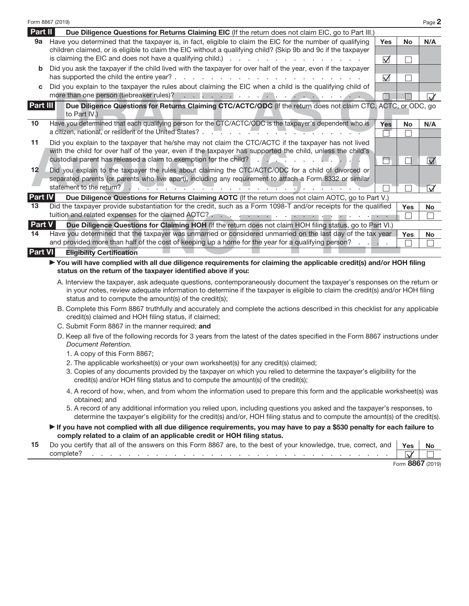|              | Form 8867 (2019)                                                                                                                                                                                                                                                                                                 |                 |            | Page 2               |
|--------------|------------------------------------------------------------------------------------------------------------------------------------------------------------------------------------------------------------------------------------------------------------------------------------------------------------------|-----------------|------------|----------------------|
| Part II      | Due Diligence Questions for Returns Claiming EIC (If the return does not claim EIC, go to Part III.)                                                                                                                                                                                                             |                 |            |                      |
| 9а           | Have you determined that the taxpayer is, in fact, eligible to claim the EIC for the number of qualifying                                                                                                                                                                                                        | <b>Yes</b>      | No         | N/A                  |
|              | children claimed, or is eligible to claim the EIC without a qualifying child? (Skip 9b and 9c if the taxpayer                                                                                                                                                                                                    | ☑               |            |                      |
| b            | Did you ask the taxpayer if the child lived with the taxpayer for over half of the year, even if the taxpayer                                                                                                                                                                                                    |                 |            |                      |
|              | has supported the child the entire year?.<br>the contract of the contract of the contract of the contract of the contract of                                                                                                                                                                                     | $\triangledown$ |            |                      |
| C            | Did you explain to the taxpayer the rules about claiming the EIC when a child is the qualifying child of                                                                                                                                                                                                         |                 |            |                      |
|              |                                                                                                                                                                                                                                                                                                                  |                 |            | $\Box'$              |
| Part III     | Due Diligence Questions for Returns Claiming CTC/ACTC/ODC (If the return does not claim CTC, ACTC, or ODC, go<br>to Part IV.)                                                                                                                                                                                    |                 |            |                      |
| 10           | Have you determined that each qualifying person for the CTC/ACTC/ODC is the taxpayer's dependent who is                                                                                                                                                                                                          | Yes             | <b>No</b>  | N/A                  |
| 11           | Did you explain to the taxpayer that he/she may not claim the CTC/ACTC if the taxpayer has not lived                                                                                                                                                                                                             |                 |            |                      |
|              | with the child for over half of the year, even if the taxpayer has supported the child, unless the child's<br>custodial parent has released a claim to exemption for the child?                                                                                                                                  |                 |            |                      |
| 12           | Did you explain to the taxpayer the rules about claiming the CTC/ACTC/ODC for a child of divorced or                                                                                                                                                                                                             | $\Box$          |            | $\blacktriangledown$ |
|              | separated parents (or parents who live apart), including any requirement to attach a Form 8332 or similar                                                                                                                                                                                                        |                 |            |                      |
|              | statement to the return?                                                                                                                                                                                                                                                                                         |                 |            | $\triangledown$      |
| Part IV      | Due Diligence Questions for Returns Claiming AOTC (If the return does not claim AOTC, go to Part V.)                                                                                                                                                                                                             |                 |            |                      |
| 13           | Did the taxpayer provide substantiation for the credit, such as a Form 1098-T and/or receipts for the qualified                                                                                                                                                                                                  |                 | <b>Yes</b> | No                   |
|              |                                                                                                                                                                                                                                                                                                                  |                 |            |                      |
| Part V<br>14 | Due Diligence Questions for Claiming HOH (If the return does not claim HOH filing status, go to Part VI.)<br>Have you determined that the taxpayer was unmarried or considered unmarried on the last day of the tax year                                                                                         |                 |            |                      |
|              | and provided more than half of the cost of keeping up a home for the year for a qualifying person?<br>and the state of the state                                                                                                                                                                                 |                 | <b>Yes</b> | No                   |
| Part VI      | <b>Eligibility Certification</b>                                                                                                                                                                                                                                                                                 |                 |            |                      |
|              | You will have complied with all due diligence requirements for claiming the applicable credit(s) and/or HOH filing                                                                                                                                                                                               |                 |            |                      |
|              | status on the return of the taxpayer identified above if you:                                                                                                                                                                                                                                                    |                 |            |                      |
|              | A. Interview the taxpayer, ask adequate questions, contemporaneously document the taxpayer's responses on the return or<br>in your notes, review adequate information to determine if the taxpayer is eligible to claim the credit(s) and/or HOH filing<br>status and to compute the amount(s) of the credit(s); |                 |            |                      |
|              | B. Complete this Form 8867 truthfully and accurately and complete the actions described in this checklist for any applicable<br>credit(s) claimed and HOH filing status, if claimed;                                                                                                                             |                 |            |                      |
|              | C. Submit Form 8867 in the manner required; and                                                                                                                                                                                                                                                                  |                 |            |                      |
|              | D. Keep all five of the following records for 3 years from the latest of the dates specified in the Form 8867 instructions under<br>Document Retention.                                                                                                                                                          |                 |            |                      |
|              | 1. A copy of this Form 8867;                                                                                                                                                                                                                                                                                     |                 |            |                      |
|              | 2. The applicable worksheet(s) or your own worksheet(s) for any credit(s) claimed;<br>3. Copies of any documents provided by the taxpayer on which you relied to determine the taxpayer's eligibility for the<br>credit(s) and/or HOH filing status and to compute the amount(s) of the credit(s);               |                 |            |                      |
|              | 4. A record of how, when, and from whom the information used to prepare this form and the applicable worksheet(s) was<br>obtained; and                                                                                                                                                                           |                 |            |                      |
|              | 5. A record of any additional information you relied upon, including questions you asked and the taxpayer's responses, to<br>determine the taxpayer's eligibility for the credit(s) and/or, HOH filing status and to compute the amount(s) of the credit(s).                                                     |                 |            |                      |
|              | If you have not complied with all due diligence requirements, you may have to pay a \$530 penalty for each failure to                                                                                                                                                                                            |                 |            |                      |

**comply related to a claim of an applicable credit or HOH filing status.**

**15** Do you certify that all of the answers on this Form 8867 are, to the best of your knowledge, true, correct, and  $\gamma_{es}$  No complete? .................................  $\overline{\mathsf{w}}$  $\Box$